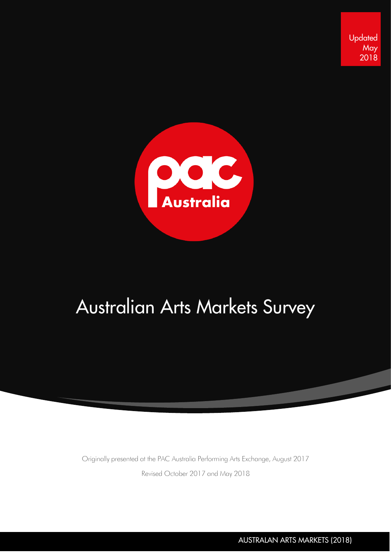**Updated May** 2018



# Australian Arts Markets Survey

Originally presented at the PAC Australia Performing Arts Exchange, August 2017

Revised October 2017 and May 2018

AUSTRALAN ARTS MARKETS (2018)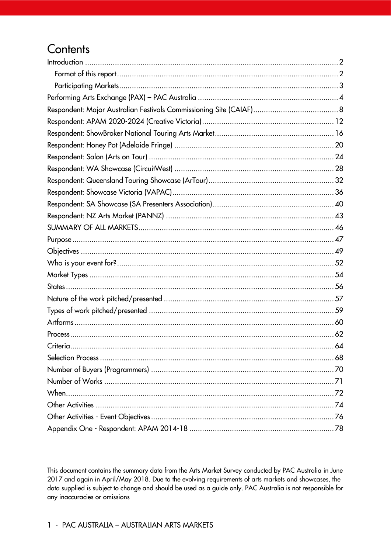# Contents

This document contains the summary data from the Arts Market Survey conducted by PAC Australia in June 2017 and again in April/May 2018. Due to the evolving requirements of arts markets and showcases, the data supplied is subject to change and should be used as a guide only. PAC Australia is not responsible for any inaccuracies or omissions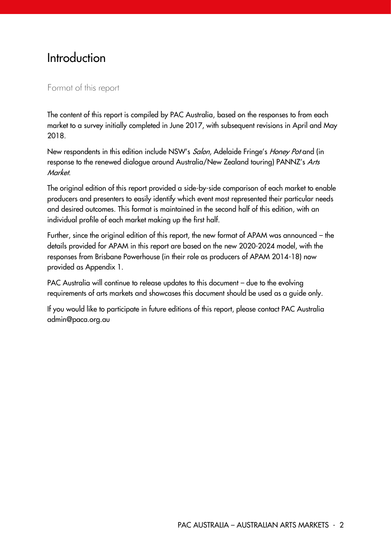# <span id="page-2-0"></span>**Introduction**

#### <span id="page-2-1"></span>Format of this report

The content of this report is compiled by PAC Australia, based on the responses to from each market to a survey initially completed in June 2017, with subsequent revisions in April and May 2018.

New respondents in this edition include NSW's Salon, Adelaide Fringe's Honey Pot and (in response to the renewed dialogue around Australia/New Zealand touring) PANNZ's Arts Market.

The original edition of this report provided a side-by-side comparison of each market to enable producers and presenters to easily identify which event most represented their particular needs and desired outcomes. This format is maintained in the second half of this edition, with an individual profile of each market making up the first half.

Further, since the original edition of this report, the new format of APAM was announced – the details provided for APAM in this report are based on the new 2020-2024 model, with the responses from Brisbane Powerhouse (in their role as producers of APAM 2014-18) now provided as Appendix 1.

PAC Australia will continue to release updates to this document – due to the evolving requirements of arts markets and showcases this document should be used as a guide only.

If you would like to participate in future editions of this report, please contact PAC Australia admin@paca.org.au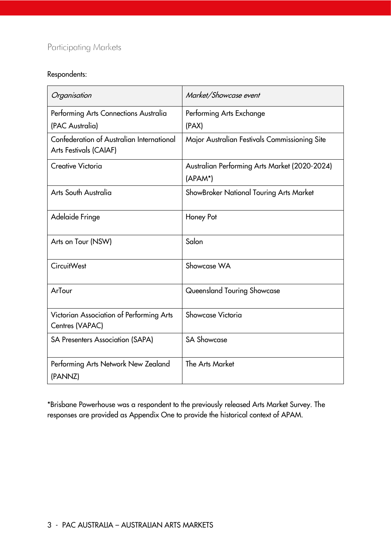#### <span id="page-3-0"></span>Participating Markets

#### Respondents:

| Organisation                                                        | Market/Showcase event                                    |
|---------------------------------------------------------------------|----------------------------------------------------------|
| Performing Arts Connections Australia                               | Performing Arts Exchange                                 |
| (PAC Australia)                                                     | (PAX)                                                    |
| Confederation of Australian International<br>Arts Festivals (CAIAF) | Major Australian Festivals Commissioning Site            |
| Creative Victoria                                                   | Australian Performing Arts Market (2020-2024)<br>(APAM*) |
|                                                                     |                                                          |
| Arts South Australia                                                | ShowBroker National Touring Arts Market                  |
| Adelaide Fringe                                                     | Honey Pot                                                |
| Arts on Tour (NSW)                                                  | Salon                                                    |
| <b>CircuitWest</b>                                                  | Showcase WA                                              |
| ArTour                                                              | Queensland Touring Showcase                              |
| Victorian Association of Performing Arts<br>Centres (VAPAC)         | Showcase Victoria                                        |
| <b>SA Presenters Association (SAPA)</b>                             | <b>SA Showcase</b>                                       |
| Performing Arts Network New Zealand<br>(PANNZ)                      | <b>The Arts Market</b>                                   |

\*Brisbane Powerhouse was a respondent to the previously released Arts Market Survey. The responses are provided as Appendix One to provide the historical context of APAM.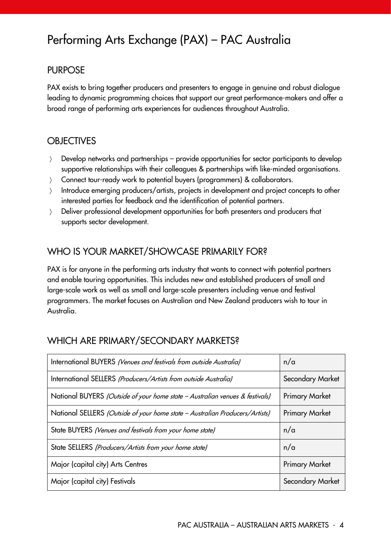# <span id="page-4-0"></span>Performing Arts Exchange (PAX) – PAC Australia

#### PURPOSE

PAX exists to bring together producers and presenters to engage in genuine and robust dialogue leading to dynamic programming choices that support our great performance-makers and offer a broad range of performing arts experiences for audiences throughout Australia.

#### **OBJECTIVES**

- Develop networks and partnerships provide opportunities for sector participants to develop supportive relationships with their colleagues & partnerships with like-minded organisations.
- Connect tour-ready work to potential buyers (programmers) & collaborators.
- Introduce emerging producers/artists, projects in development and project concepts to other interested parties for feedback and the identification of potential partners.
- > Deliver professional development opportunities for both presenters and producers that supports sector development.

#### WHO IS YOUR MARKET/SHOWCASE PRIMARILY FOR?

PAX is for anyone in the performing arts industry that wants to connect with potential partners and enable touring opportunities. This includes new and established producers of small and large-scale work as well as small and large-scale presenters including venue and festival programmers. The market focuses on Australian and New Zealand producers wish to tour in Australia.

#### WHICH ARE PRIMARY/SECONDARY MARKETS?

| International BUYERS (Venues and festivals from outside Australia)           | n/a                   |
|------------------------------------------------------------------------------|-----------------------|
| International SELLERS (Producers/Artists from outside Australia)             | Secondary Market      |
| National BUYERS (Outside of your home state - Australian venues & festivals) | <b>Primary Market</b> |
| National SELLERS (Outside of your home state - Australian Producers/Artists) | <b>Primary Market</b> |
| State BUYERS (Venues and festivals from your home state)                     | n/a                   |
| State SELLERS (Producers/Artists from your home state)                       | n/a                   |
| Major (capital city) Arts Centres                                            | <b>Primary Market</b> |
| Major (capital city) Festivals                                               | Secondary Market      |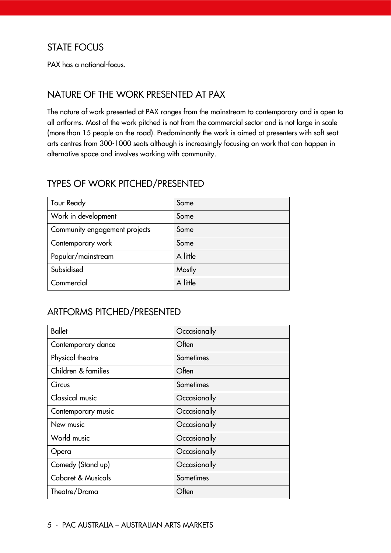#### STATE FOCUS

PAX has a national-focus.

#### NATURE OF THE WORK PRESENTED AT PAX

The nature of work presented at PAX ranges from the mainstream to contemporary and is open to all artforms. Most of the work pitched is not from the commercial sector and is not large in scale (more than 15 people on the road). Predominantly the work is aimed at presenters with soft seat arts centres from 300-1000 seats although is increasingly focusing on work that can happen in alternative space and involves working with community.

#### TYPES OF WORK PITCHED/PRESENTED

| <b>Tour Ready</b>             | Some     |
|-------------------------------|----------|
| Work in development           | Some     |
| Community engagement projects | Some     |
| Contemporary work             | Some     |
| Popular/mainstream            | A little |
| Subsidised                    | Mostly   |
| Commercial                    | A little |

#### ARTFORMS PITCHED/PRESENTED

| <b>Ballet</b>          | Occasionally |
|------------------------|--------------|
| Contemporary dance     | Often        |
| Physical theatre       | Sometimes    |
| Children & families    | Often        |
| Circus                 | Sometimes    |
| <b>Classical music</b> | Occasionally |
| Contemporary music     | Occasionally |
| New music              | Occasionally |
| World music            | Occasionally |
| Opera                  | Occasionally |
| Comedy (Stand up)      | Occasionally |
| Cabaret & Musicals     | Sometimes    |
| Theatre/Drama          | Often        |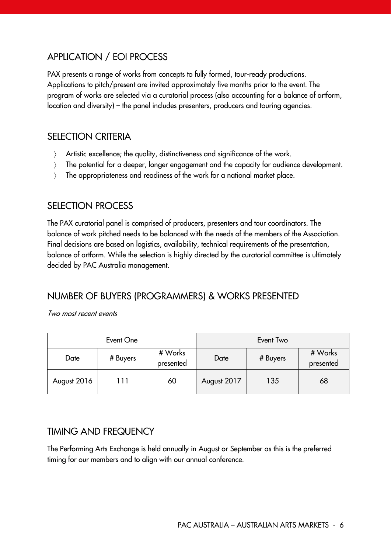# APPLICATION / EOI PROCESS

PAX presents a range of works from concepts to fully formed, tour-ready productions. Applications to pitch/present are invited approximately five months prior to the event. The program of works are selected via a curatorial process (also accounting for a balance of artform, location and diversity) – the panel includes presenters, producers and touring agencies.

#### SELECTION CRITERIA

- Artistic excellence; the quality, distinctiveness and significance of the work.
- The potential for a deeper, longer engagement and the capacity for audience development.
- > The appropriateness and readiness of the work for a national market place.

#### SELECTION PROCESS

The PAX curatorial panel is comprised of producers, presenters and tour coordinators. The balance of work pitched needs to be balanced with the needs of the members of the Association. Final decisions are based on logistics, availability, technical requirements of the presentation, balance of artform. While the selection is highly directed by the curatorial committee is ultimately decided by PAC Australia management.

#### NUMBER OF BUYERS (PROGRAMMERS) & WORKS PRESENTED

Two most recent events

| Event One   |          |                      | Event Two   |          |                      |
|-------------|----------|----------------------|-------------|----------|----------------------|
| Date        | # Buyers | # Works<br>presented | Date        | # Buyers | # Works<br>presented |
| August 2016 | l 1 1    | 60                   | August 2017 | 135      | 68                   |

#### TIMING AND FREQUENCY

The Performing Arts Exchange is held annually in August or September as this is the preferred timing for our members and to align with our annual conference.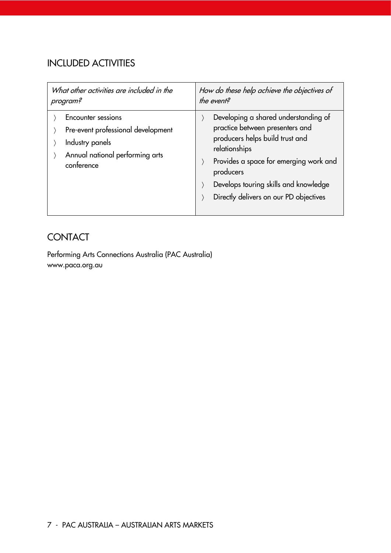# INCLUDED ACTIVITIES

| What other activities are included in the                                                                                           | How do these help achieve the objectives of                                                                                                                                                                                                                           |
|-------------------------------------------------------------------------------------------------------------------------------------|-----------------------------------------------------------------------------------------------------------------------------------------------------------------------------------------------------------------------------------------------------------------------|
| program?                                                                                                                            | the event?                                                                                                                                                                                                                                                            |
| <b>Encounter sessions</b><br>Pre-event professional development<br>Industry panels<br>Annual national performing arts<br>conference | Developing a shared understanding of<br>practice between presenters and<br>producers helps build trust and<br>relationships<br>Provides a space for emerging work and<br>producers<br>Develops touring skills and knowledge<br>Directly delivers on our PD objectives |

# **CONTACT**

Performing Arts Connections Australia (PAC Australia) www.paca.org.au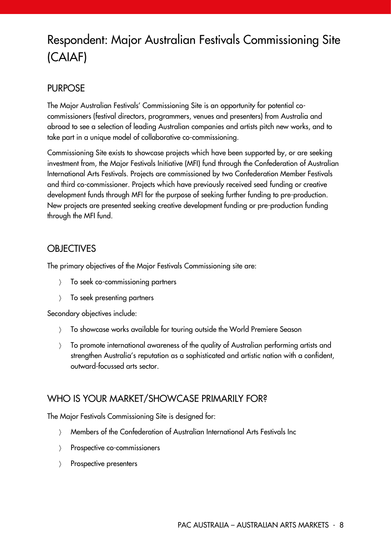# <span id="page-8-0"></span>Respondent: Major Australian Festivals Commissioning Site (CAIAF)

#### PURPOSE

The Major Australian Festivals' Commissioning Site is an opportunity for potential cocommissioners (festival directors, programmers, venues and presenters) from Australia and abroad to see a selection of leading Australian companies and artists pitch new works, and to take part in a unique model of collaborative co-commissioning.

Commissioning Site exists to showcase projects which have been supported by, or are seeking investment from, the Major Festivals Initiative (MFI) fund through the Confederation of Australian International Arts Festivals. Projects are commissioned by two Confederation Member Festivals and third co-commissioner. Projects which have previously received seed funding or creative development funds through MFI for the purpose of seeking further funding to pre-production. New projects are presented seeking creative development funding or pre-production funding through the MFI fund.

#### **OBJECTIVES**

The primary objectives of the Major Festivals Commissioning site are:

- To seek co-commissioning partners
- > To seek presenting partners

Secondary objectives include:

- To showcase works available for touring outside the World Premiere Season
- To promote international awareness of the quality of Australian performing artists and strengthen Australia's reputation as a sophisticated and artistic nation with a confident, outward-focussed arts sector.

#### WHO IS YOUR MARKET/SHOWCASE PRIMARILY FOR?

The Major Festivals Commissioning Site is designed for:

- Members of the Confederation of Australian International Arts Festivals Inc
- > Prospective co-commissioners
- > Prospective presenters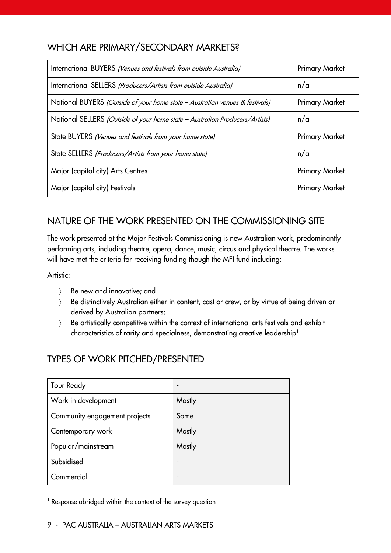#### WHICH ARE PRIMARY/SECONDARY MARKETS?

| International BUYERS (Venues and festivals from outside Australia)           | <b>Primary Market</b> |
|------------------------------------------------------------------------------|-----------------------|
| International SELLERS (Producers/Artists from outside Australia)             | n/a                   |
| National BUYERS (Outside of your home state - Australian venues & festivals) | <b>Primary Market</b> |
| National SELLERS (Outside of your home state - Australian Producers/Artists) | n/a                   |
| State BUYERS (Venues and festivals from your home state)                     | <b>Primary Market</b> |
| State SELLERS (Producers/Artists from your home state)                       | n/a                   |
| Major (capital city) Arts Centres                                            | <b>Primary Market</b> |
| Major (capital city) Festivals                                               | <b>Primary Market</b> |

# NATURE OF THE WORK PRESENTED ON THE COMMISSIONING SITE

The work presented at the Major Festivals Commissioning is new Australian work, predominantly performing arts, including theatre, opera, dance, music, circus and physical theatre. The works will have met the criteria for receiving funding though the MFI fund including:

Artistic:

-

- Be new and innovative; and
- Be distinctively Australian either in content, cast or crew, or by virtue of being driven or derived by Australian partners;
- Be artistically competitive within the context of international arts festivals and exhibit characteristics of rarity and specialness, demonstrating creative leadership<sup>1</sup>

# TYPES OF WORK PITCHED/PRESENTED

| <b>Tour Ready</b>             |        |
|-------------------------------|--------|
| Work in development           | Mostly |
| Community engagement projects | Some   |
| Contemporary work             | Mostly |
| Popular/mainstream            | Mostly |
| Subsidised                    |        |
| Commercial                    |        |

<sup>&</sup>lt;sup>1</sup> Response abridged within the context of the survey question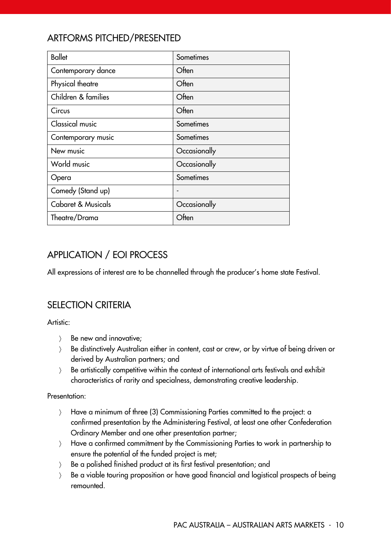# ARTFORMS PITCHED/PRESENTED

| <b>Ballet</b>                 | Sometimes    |
|-------------------------------|--------------|
| Contemporary dance            | Often        |
| Physical theatre              | Often        |
| Children & families           | Often        |
| Circus                        | Often        |
| <b>Classical music</b>        | Sometimes    |
| Contemporary music            | Sometimes    |
| New music                     | Occasionally |
| World music                   | Occasionally |
| Opera                         | Sometimes    |
| Comedy (Stand up)             |              |
| <b>Cabaret &amp; Musicals</b> | Occasionally |
| Theatre/Drama                 | Often        |

# APPLICATION / EOI PROCESS

All expressions of interest are to be channelled through the producer's home state Festival.

#### SELECTION CRITERIA

Artistic:

- $\angle$  Be new and innovative;
- Be distinctively Australian either in content, cast or crew, or by virtue of being driven or derived by Australian partners; and
- Be artistically competitive within the context of international arts festivals and exhibit characteristics of rarity and specialness, demonstrating creative leadership.

#### Presentation:

- Have a minimum of three (3) Commissioning Parties committed to the project: a confirmed presentation by the Administering Festival, at least one other Confederation Ordinary Member and one other presentation partner;
- Have a confirmed commitment by the Commissioning Parties to work in partnership to ensure the potential of the funded project is met;
- Be a polished finished product at its first festival presentation; and
- Be a viable touring proposition or have good financial and logistical prospects of being remounted.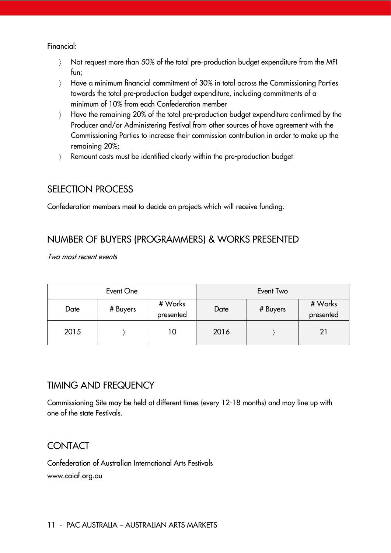Financial:

- Not request more than 50% of the total pre-production budget expenditure from the MFI fun;
- Have a minimum financial commitment of 30% in total across the Commissioning Parties towards the total pre-production budget expenditure, including commitments of a minimum of 10% from each Confederation member
- Have the remaining 20% of the total pre-production budget expenditure confirmed by the Producer and/or Administering Festival from other sources of have agreement with the Commissioning Parties to increase their commission contribution in order to make up the remaining 20%;
- Remount costs must be identified clearly within the pre-production budget

#### SELECTION PROCESS

Confederation members meet to decide on projects which will receive funding.

#### NUMBER OF BUYERS (PROGRAMMERS) & WORKS PRESENTED

Two most recent events

| Event One |          |                      | Event Two |          |                      |
|-----------|----------|----------------------|-----------|----------|----------------------|
| Date      | # Buyers | # Works<br>presented | Date      | # Buyers | # Works<br>presented |
| 2015      |          | 10                   | 2016      |          | 21                   |

#### TIMING AND FREQUENCY

Commissioning Site may be held at different times (every 12-18 months) and may line up with one of the state Festivals.

# **CONTACT**

Confederation of Australian International Arts Festivals www.caiaf.org.au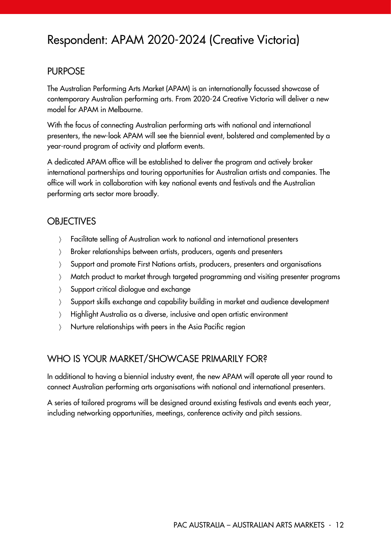# <span id="page-12-0"></span>Respondent: APAM 2020-2024 (Creative Victoria)

#### PURPOSE

The Australian Performing Arts Market (APAM) is an internationally focussed showcase of contemporary Australian performing arts. From 2020-24 Creative Victoria will deliver a new model for APAM in Melbourne.

With the focus of connecting Australian performing arts with national and international presenters, the new-look APAM will see the biennial event, bolstered and complemented by a year-round program of activity and platform events.

A dedicated APAM office will be established to deliver the program and actively broker international partnerships and touring opportunities for Australian artists and companies. The office will work in collaboration with key national events and festivals and the Australian performing arts sector more broadly.

#### **OBJECTIVES**

- Facilitate selling of Australian work to national and international presenters
- > Broker relationships between artists, producers, agents and presenters
- Support and promote First Nations artists, producers, presenters and organisations
- Match product to market through targeted programming and visiting presenter programs
- Support critical dialogue and exchange
- Support skills exchange and capability building in market and audience development
- Highlight Australia as a diverse, inclusive and open artistic environment
- Nurture relationships with peers in the Asia Pacific region

#### WHO IS YOUR MARKET/SHOWCASE PRIMARILY FOR?

In additional to having a biennial industry event, the new APAM will operate all year round to connect Australian performing arts organisations with national and international presenters.

A series of tailored programs will be designed around existing festivals and events each year, including networking opportunities, meetings, conference activity and pitch sessions.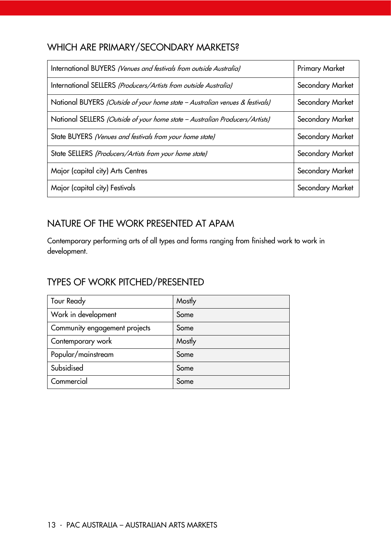### WHICH ARE PRIMARY/SECONDARY MARKETS?

| International BUYERS (Venues and festivals from outside Australia)           | <b>Primary Market</b> |
|------------------------------------------------------------------------------|-----------------------|
| International SELLERS (Producers/Artists from outside Australia)             | Secondary Market      |
| National BUYERS (Outside of your home state - Australian venues & festivals) | Secondary Market      |
| National SELLERS (Outside of your home state - Australian Producers/Artists) | Secondary Market      |
| State BUYERS (Venues and festivals from your home state)                     | Secondary Market      |
| State SELLERS (Producers/Artists from your home state)                       | Secondary Market      |
| Major (capital city) Arts Centres                                            | Secondary Market      |
| Major (capital city) Festivals                                               | Secondary Market      |

# NATURE OF THE WORK PRESENTED AT APAM

Contemporary performing arts of all types and forms ranging from finished work to work in development.

### TYPES OF WORK PITCHED/PRESENTED

| <b>Tour Ready</b>             | Mostly |
|-------------------------------|--------|
| Work in development           | Some   |
| Community engagement projects | Some   |
| Contemporary work             | Mostly |
| Popular/mainstream            | Some   |
| Subsidised                    | Some   |
| Commercial                    | Some   |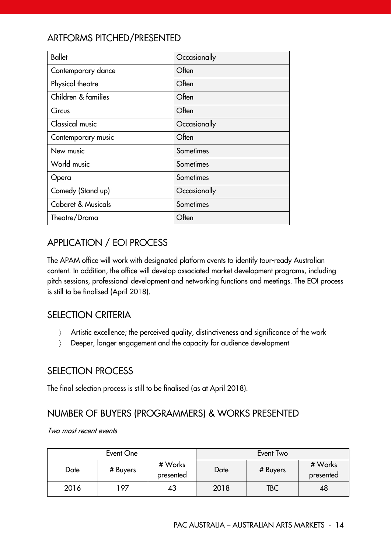# ARTFORMS PITCHED/PRESENTED

| <b>Ballet</b>                 | Occasionally |
|-------------------------------|--------------|
| Contemporary dance            | Often        |
| Physical theatre              | Often        |
| Children & families           | Often        |
| Circus                        | Often        |
| <b>Classical music</b>        | Occasionally |
| Contemporary music            | Often        |
| New music                     | Sometimes    |
| World music                   | Sometimes    |
| Opera                         | Sometimes    |
| Comedy (Stand up)             | Occasionally |
| <b>Cabaret &amp; Musicals</b> | Sometimes    |
| Theatre/Drama                 | Often        |

# APPLICATION / EOI PROCESS

The APAM office will work with designated platform events to identify tour-ready Australian content. In addition, the office will develop associated market development programs, including pitch sessions, professional development and networking functions and meetings. The EOI process is still to be finalised (April 2018).

#### SELECTION CRITERIA

- Artistic excellence; the perceived quality, distinctiveness and significance of the work
- Deeper, longer engagement and the capacity for audience development

#### SELECTION PROCESS

The final selection process is still to be finalised (as at April 2018).

# NUMBER OF BUYERS (PROGRAMMERS) & WORKS PRESENTED

Two most recent events

|      | Event One |                      |      | Event Two |                      |
|------|-----------|----------------------|------|-----------|----------------------|
| Date | # Buyers  | # Works<br>presented | Date | # Buyers  | # Works<br>presented |
| 2016 | 197       | 43                   | 2018 | TBC       | 48                   |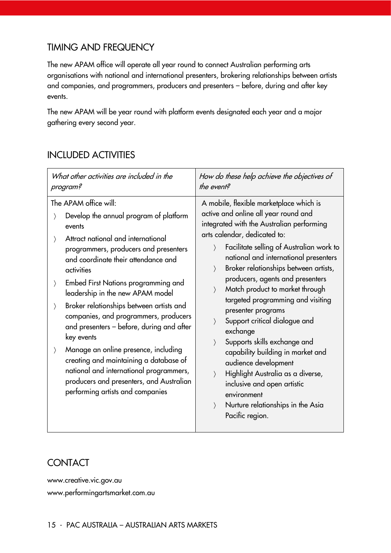#### TIMING AND FREQUENCY

The new APAM office will operate all year round to connect Australian performing arts organisations with national and international presenters, brokering relationships between artists and companies, and programmers, producers and presenters – before, during and after key events.

The new APAM will be year round with platform events designated each year and a major gathering every second year.

#### INCLUDED ACTIVITIES

| What other activities are included in the                                                                                                                                                                                                                                                                                                                                                                                                                                                                                                                                                                                                                                                                                                                                       | How do these help achieve the objectives of                                                                                                                                                                                                                                                                                                                                                                                                                                                                                                                                                                                                                                                                                                                                                                        |
|---------------------------------------------------------------------------------------------------------------------------------------------------------------------------------------------------------------------------------------------------------------------------------------------------------------------------------------------------------------------------------------------------------------------------------------------------------------------------------------------------------------------------------------------------------------------------------------------------------------------------------------------------------------------------------------------------------------------------------------------------------------------------------|--------------------------------------------------------------------------------------------------------------------------------------------------------------------------------------------------------------------------------------------------------------------------------------------------------------------------------------------------------------------------------------------------------------------------------------------------------------------------------------------------------------------------------------------------------------------------------------------------------------------------------------------------------------------------------------------------------------------------------------------------------------------------------------------------------------------|
| program?                                                                                                                                                                                                                                                                                                                                                                                                                                                                                                                                                                                                                                                                                                                                                                        | the event?                                                                                                                                                                                                                                                                                                                                                                                                                                                                                                                                                                                                                                                                                                                                                                                                         |
| The APAM office will:<br>Develop the annual program of platform<br>$\rangle$<br>events<br>Attract national and international<br>$\left\langle \right\rangle$<br>programmers, producers and presenters<br>and coordinate their attendance and<br>activities<br>Embed First Nations programming and<br>$\left\langle \right\rangle$<br>leadership in the new APAM model<br>Broker relationships between artists and<br>$\rangle$<br>companies, and programmers, producers<br>and presenters - before, during and after<br>key events<br>Manage an online presence, including<br>$\left\langle \right\rangle$<br>creating and maintaining a database of<br>national and international programmers,<br>producers and presenters, and Australian<br>performing artists and companies | A mobile, flexible marketplace which is<br>active and online all year round and<br>integrated with the Australian performing<br>arts calendar, dedicated to:<br>Facilitate selling of Australian work to<br>$\rangle$<br>national and international presenters<br>Broker relationships between artists,<br>$\left\langle \right\rangle$<br>producers, agents and presenters<br>Match product to market through<br>$\rangle$<br>targeted programming and visiting<br>presenter programs<br>Support critical dialogue and<br>exchange<br>Supports skills exchange and<br>$\rangle$<br>capability building in market and<br>audience development<br>Highlight Australia as a diverse,<br>$\rangle$<br>inclusive and open artistic<br>environment<br>Nurture relationships in the Asia<br>$\rangle$<br>Pacific region. |

#### **CONTACT**

www.creative.vic.gov.au www.performingartsmarket.com.au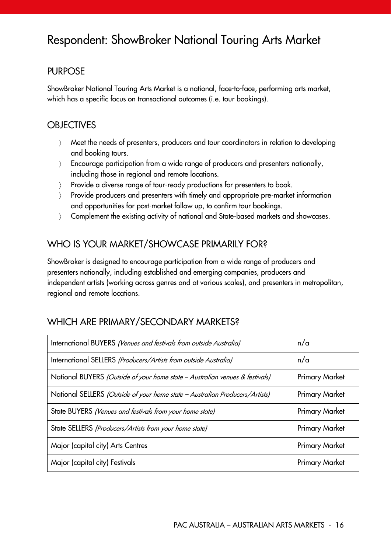# <span id="page-16-0"></span>Respondent: ShowBroker National Touring Arts Market

#### PURPOSE

ShowBroker National Touring Arts Market is a national, face-to-face, performing arts market, which has a specific focus on transactional outcomes (i.e. tour bookings).

#### **OBJECTIVES**

- Meet the needs of presenters, producers and tour coordinators in relation to developing and booking tours.
- Encourage participation from a wide range of producers and presenters nationally, including those in regional and remote locations.
- Provide a diverse range of tour-ready productions for presenters to book.
- Provide producers and presenters with timely and appropriate pre-market information and opportunities for post-market follow up, to confirm tour bookings.
- Complement the existing activity of national and State-based markets and showcases.

# WHO IS YOUR MARKET/SHOWCASE PRIMARILY FOR?

ShowBroker is designed to encourage participation from a wide range of producers and presenters nationally, including established and emerging companies, producers and independent artists (working across genres and at various scales), and presenters in metropolitan, regional and remote locations.

# WHICH ARE PRIMARY/SECONDARY MARKETS?

| International BUYERS (Venues and festivals from outside Australia)           | n/a                   |
|------------------------------------------------------------------------------|-----------------------|
| International SELLERS (Producers/Artists from outside Australia)             | n/a                   |
| National BUYERS (Outside of your home state - Australian venues & festivals) | <b>Primary Market</b> |
| National SELLERS (Outside of your home state - Australian Producers/Artists) | <b>Primary Market</b> |
| State BUYERS (Venues and festivals from your home state)                     | <b>Primary Market</b> |
| State SELLERS (Producers/Artists from your home state)                       | <b>Primary Market</b> |
| Major (capital city) Arts Centres                                            | <b>Primary Market</b> |
| Major (capital city) Festivals                                               | <b>Primary Market</b> |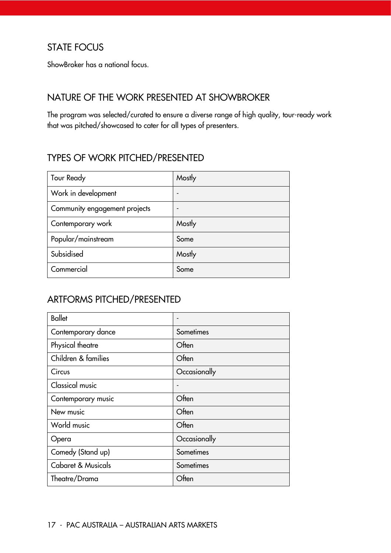### STATE FOCUS

ShowBroker has a national focus.

#### NATURE OF THE WORK PRESENTED AT SHOWBROKER

The program was selected/curated to ensure a diverse range of high quality, tour-ready work that was pitched/showcased to cater for all types of presenters.

#### TYPES OF WORK PITCHED/PRESENTED

| <b>Tour Ready</b>             | Mostly |
|-------------------------------|--------|
| Work in development           |        |
| Community engagement projects |        |
| Contemporary work             | Mostly |
| Popular/mainstream            | Some   |
| Subsidised                    | Mostly |
| Commercial                    | Some   |

# ARTFORMS PITCHED/PRESENTED

| <b>Ballet</b>                 |              |
|-------------------------------|--------------|
| Contemporary dance            | Sometimes    |
| Physical theatre              | Often        |
| Children & families           | Often        |
| Circus                        | Occasionally |
| <b>Classical music</b>        |              |
| Contemporary music            | Often        |
| New music                     | Often        |
| World music                   | Often        |
| Opera                         | Occasionally |
| Comedy (Stand up)             | Sometimes    |
| <b>Cabaret &amp; Musicals</b> | Sometimes    |
| Theatre/Drama                 | Often        |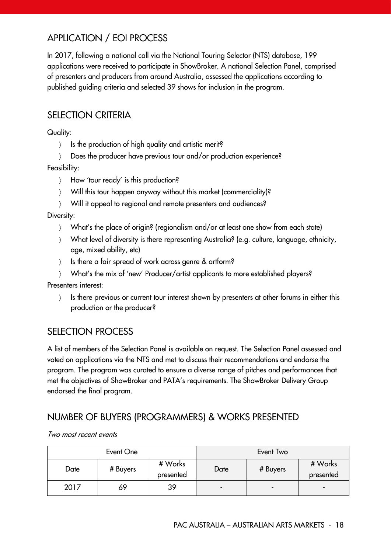# APPLICATION / EOI PROCESS

In 2017, following a national call via the National Touring Selector (NTS) database, 199 applications were received to participate in ShowBroker. A national Selection Panel, comprised of presenters and producers from around Australia, assessed the applications according to published guiding criteria and selected 39 shows for inclusion in the program.

#### SELECTION CRITERIA

Quality:

- $\angle$  Is the production of high quality and artistic merit?
- Does the producer have previous tour and/or production experience?

Feasibility:

- > How 'tour ready' is this production?
- Will this tour happen anyway without this market (commerciality)?
- Will it appeal to regional and remote presenters and audiences?

Diversity:

- What's the place of origin? (regionalism and/or at least one show from each state)
- What level of diversity is there representing Australia? (e.g. culture, language, ethnicity, age, mixed ability, etc)
- $\angle$  Is there a fair spread of work across genre & artform?
- What's the mix of 'new' Producer/artist applicants to more established players?

Presenters interest:

) Is there previous or current tour interest shown by presenters at other forums in either this production or the producer?

#### SELECTION PROCESS

A list of members of the Selection Panel is available on request. The Selection Panel assessed and voted on applications via the NTS and met to discuss their recommendations and endorse the program. The program was curated to ensure a diverse range of pitches and performances that met the objectives of ShowBroker and PATA's requirements. The ShowBroker Delivery Group endorsed the final program.

#### NUMBER OF BUYERS (PROGRAMMERS) & WORKS PRESENTED

|      | Event One |                      |      | Event Two                |                          |
|------|-----------|----------------------|------|--------------------------|--------------------------|
| Date | # Buyers  | # Works<br>presented | Date | # Buyers                 | # Works<br>presented     |
| 2017 | 69        | 39                   | -    | $\overline{\phantom{a}}$ | $\overline{\phantom{a}}$ |

#### Two most recent events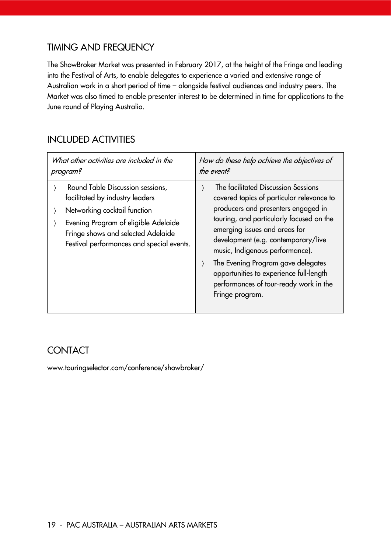#### TIMING AND FREQUENCY

The ShowBroker Market was presented in February 2017, at the height of the Fringe and leading into the Festival of Arts, to enable delegates to experience a varied and extensive range of Australian work in a short period of time – alongside festival audiences and industry peers. The Market was also timed to enable presenter interest to be determined in time for applications to the June round of Playing Australia.

#### INCLUDED ACTIVITIES

| What other activities are included in the                                                                                                                                                                                      | How do these help achieve the objectives of                                                                                                                                                                                                                                                                                                                                                                                  |
|--------------------------------------------------------------------------------------------------------------------------------------------------------------------------------------------------------------------------------|------------------------------------------------------------------------------------------------------------------------------------------------------------------------------------------------------------------------------------------------------------------------------------------------------------------------------------------------------------------------------------------------------------------------------|
| program?                                                                                                                                                                                                                       | the event?                                                                                                                                                                                                                                                                                                                                                                                                                   |
| Round Table Discussion sessions,<br>facilitated by industry leaders<br>Networking cocktail function<br>Evening Program of eligible Adelaide<br>Fringe shows and selected Adelaide<br>Festival performances and special events. | The facilitated Discussion Sessions<br>covered topics of particular relevance to<br>producers and presenters engaged in<br>touring, and particularly focused on the<br>emerging issues and areas for<br>development (e.g. contemporary/live<br>music, Indigenous performance).<br>The Evening Program gave delegates<br>opportunities to experience full-length<br>performances of tour-ready work in the<br>Fringe program. |

# **CONTACT**

www.touringselector.com/conference/showbroker/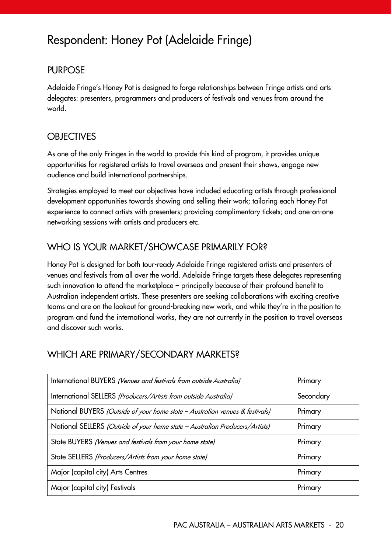# <span id="page-20-0"></span>Respondent: Honey Pot (Adelaide Fringe)

#### PURPOSE

Adelaide Fringe's Honey Pot is designed to forge relationships between Fringe artists and arts delegates: presenters, programmers and producers of festivals and venues from around the world.

#### **OBJECTIVES**

As one of the only Fringes in the world to provide this kind of program, it provides unique opportunities for registered artists to travel overseas and present their shows, engage new audience and build international partnerships.

Strategies employed to meet our objectives have included educating artists through professional development opportunities towards showing and selling their work; tailoring each Honey Pot experience to connect artists with presenters; providing complimentary tickets; and one-on-one networking sessions with artists and producers etc.

# WHO IS YOUR MARKET/SHOWCASE PRIMARILY FOR?

Honey Pot is designed for both tour-ready Adelaide Fringe registered artists and presenters of venues and festivals from all over the world. Adelaide Fringe targets these delegates representing such innovation to attend the marketplace – principally because of their profound benefit to Australian independent artists. These presenters are seeking collaborations with exciting creative teams and are on the lookout for ground-breaking new work, and while they're in the position to program and fund the international works, they are not currently in the position to travel overseas and discover such works.

#### WHICH ARE PRIMARY/SECONDARY MARKETS?

| International BUYERS (Venues and festivals from outside Australia)           | Primary   |
|------------------------------------------------------------------------------|-----------|
| International SELLERS (Producers/Artists from outside Australia)             | Secondary |
| National BUYERS (Outside of your home state - Australian venues & festivals) | Primary   |
| National SELLERS (Outside of your home state - Australian Producers/Artists) | Primary   |
| State BUYERS (Venues and festivals from your home state)                     | Primary   |
| State SELLERS (Producers/Artists from your home state)                       | Primary   |
| Major (capital city) Arts Centres                                            | Primary   |
| Major (capital city) Festivals                                               | Primary   |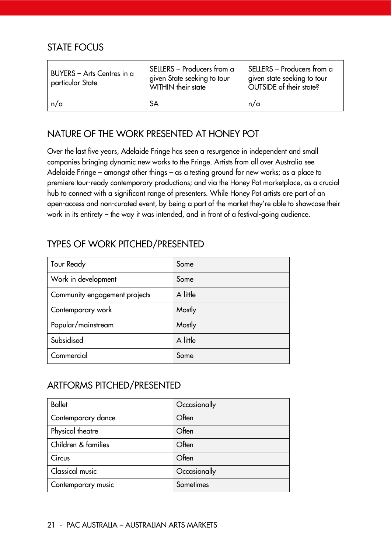#### STATE FOCUS

| BUYERS - Arts Centres in a<br>particular State | SELLERS - Producers from a<br>given State seeking to tour<br>WITHIN their state | SELLERS - Producers from a<br>given state seeking to tour<br>OUTSIDE of their state? |
|------------------------------------------------|---------------------------------------------------------------------------------|--------------------------------------------------------------------------------------|
| n/a                                            | <b>SA</b>                                                                       | n/a                                                                                  |

#### NATURE OF THE WORK PRESENTED AT HONEY POT

Over the last five years, Adelaide Fringe has seen a resurgence in independent and small companies bringing dynamic new works to the Fringe. Artists from all over Australia see Adelaide Fringe – amongst other things – as a testing ground for new works; as a place to premiere tour-ready contemporary productions; and via the Honey Pot marketplace, as a crucial hub to connect with a significant range of presenters. While Honey Pot artists are part of an open-access and non-curated event, by being a part of the market they're able to showcase their work in its entirety – the way it was intended, and in front of a festival-going audience.

# TYPES OF WORK PITCHED/PRESENTED

| <b>Tour Ready</b>             | Some     |
|-------------------------------|----------|
| Work in development           | Some     |
| Community engagement projects | A little |
| Contemporary work             | Mostly   |
| Popular/mainstream            | Mostly   |
| Subsidised                    | A little |
| Commercial                    | Some     |

#### ARTFORMS PITCHED/PRESENTED

| <b>Ballet</b>       | Occasionally |
|---------------------|--------------|
| Contemporary dance  | Often        |
| Physical theatre    | Often        |
| Children & families | Often        |
| Circus              | Often        |
| Classical music     | Occasionally |
| Contemporary music  | Sometimes    |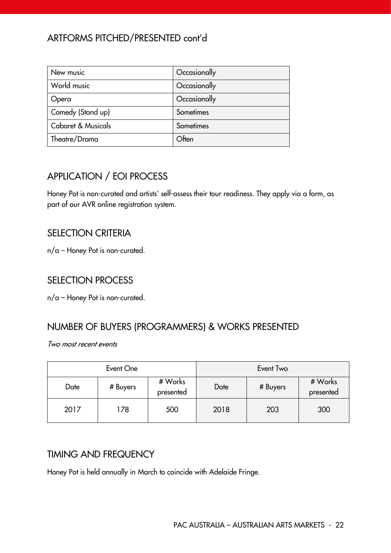# ARTFORMS PITCHED/PRESENTED cont'd

| New music          | Occasionally |
|--------------------|--------------|
| World music        | Occasionally |
| Opera              | Occasionally |
| Comedy (Stand up)  | Sometimes    |
| Cabaret & Musicals | Sometimes    |
| Theatre/Drama      | Often        |

# APPLICATION / EOI PROCESS

Honey Pot is non-curated and artists' self-assess their tour readiness. They apply via a form, as part of our AVR online registration system.

#### SELECTION CRITERIA

n/a – Honey Pot is non-curated.

#### SELECTION PROCESS

n/a – Honey Pot is non-curated.

#### NUMBER OF BUYERS (PROGRAMMERS) & WORKS PRESENTED

Two most recent events

|      | Event One |                      |      | Event Two |                      |
|------|-----------|----------------------|------|-----------|----------------------|
| Date | # Buyers  | # Works<br>presented | Date | # Buyers  | # Works<br>presented |
| 2017 | 178       | 500                  | 2018 | 203       | 300                  |

#### TIMING AND FREQUENCY

Honey Pot is held annually in March to coincide with Adelaide Fringe.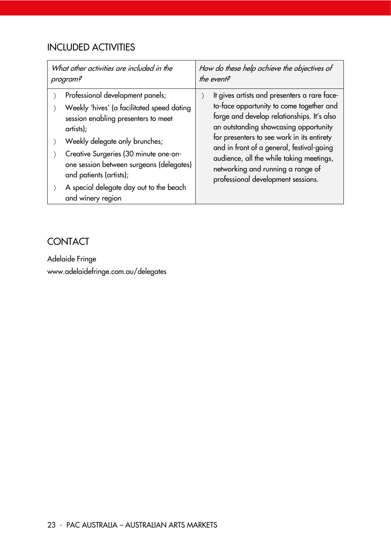# INCLUDED ACTIVITIES

| What other activities are included in the                                                                                                                                                                                                                                                                                                            | How do these help achieve the objectives of                                                                                                                                                                                                                                                                                                                                                       |
|------------------------------------------------------------------------------------------------------------------------------------------------------------------------------------------------------------------------------------------------------------------------------------------------------------------------------------------------------|---------------------------------------------------------------------------------------------------------------------------------------------------------------------------------------------------------------------------------------------------------------------------------------------------------------------------------------------------------------------------------------------------|
| program?                                                                                                                                                                                                                                                                                                                                             | the event?                                                                                                                                                                                                                                                                                                                                                                                        |
| Professional development panels;<br>Weekly 'hives' (a facilitated speed dating<br>session enabling presenters to meet<br>artists);<br>Weekly delegate only brunches;<br>Creative Surgeries (30 minute one-on-<br>one session between surgeons (delegates)<br>and patients (artists);<br>A special delegate day out to the beach<br>and winery region | It gives artists and presenters a rare face-<br>to-face opportunity to come together and<br>forge and develop relationships. It's also<br>an outstanding showcasing opportunity<br>for presenters to see work in its entirety<br>and in front of a general, festival-going<br>audience, all the while taking meetings,<br>networking and running a range of<br>professional development sessions. |

# **CONTACT**

Adelaide Fringe www.adelaidefringe.com.au/delegates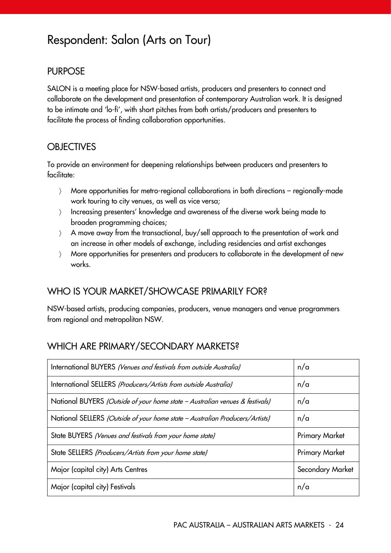# <span id="page-24-0"></span>Respondent: Salon (Arts on Tour)

#### PURPOSE

SALON is a meeting place for NSW-based artists, producers and presenters to connect and collaborate on the development and presentation of contemporary Australian work. It is designed to be intimate and 'lo-fi', with short pitches from both artists/producers and presenters to facilitate the process of finding collaboration opportunities.

#### **OBJECTIVES**

To provide an environment for deepening relationships between producers and presenters to facilitate:

- More opportunities for metro-regional collaborations in both directions regionally-made work touring to city venues, as well as vice versa;
- Increasing presenters' knowledge and awareness of the diverse work being made to broaden programming choices;
- A move away from the transactional, buy/sell approach to the presentation of work and an increase in other models of exchange, including residencies and artist exchanges
- More opportunities for presenters and producers to collaborate in the development of new works.

#### WHO IS YOUR MARKET/SHOWCASE PRIMARILY FOR?

NSW-based artists, producing companies, producers, venue managers and venue programmers from regional and metropolitan NSW.

#### WHICH ARE PRIMARY/SECONDARY MARKETS?

| International BUYERS (Venues and festivals from outside Australia)           | n/a                   |
|------------------------------------------------------------------------------|-----------------------|
| International SELLERS (Producers/Artists from outside Australia)             | n/a                   |
| National BUYERS (Outside of your home state - Australian venues & festivals) | n/a                   |
| National SELLERS (Outside of your home state - Australian Producers/Artists) | n/a                   |
| State BUYERS (Venues and festivals from your home state)                     | <b>Primary Market</b> |
| State SELLERS (Producers/Artists from your home state)                       | <b>Primary Market</b> |
| Major (capital city) Arts Centres                                            | Secondary Market      |
| Major (capital city) Festivals                                               | n/a                   |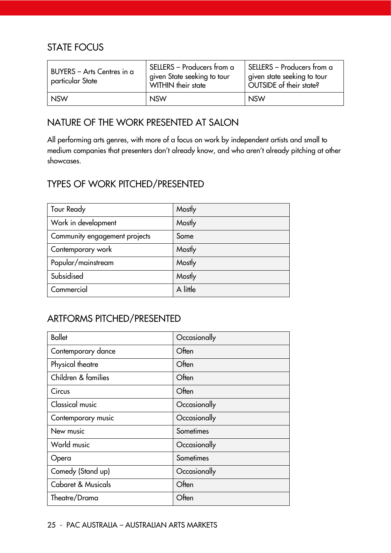#### STATE FOCUS

| BUYERS - Arts Centres in a<br>particular State | SELLERS - Producers from a<br>given State seeking to tour<br>WITHIN their state | SELLERS - Producers from a<br>given state seeking to tour<br>OUTSIDE of their state? |
|------------------------------------------------|---------------------------------------------------------------------------------|--------------------------------------------------------------------------------------|
| <b>NSW</b>                                     | <b>NSW</b>                                                                      | <b>NSW</b>                                                                           |

#### NATURE OF THE WORK PRESENTED AT SALON

All performing arts genres, with more of a focus on work by independent artists and small to medium companies that presenters don't already know, and who aren't already pitching at other showcases.

#### TYPES OF WORK PITCHED/PRESENTED

| <b>Tour Ready</b>             | Mostly   |
|-------------------------------|----------|
| Work in development           | Mostly   |
| Community engagement projects | Some     |
| Contemporary work             | Mostly   |
| Popular/mainstream            | Mostly   |
| Subsidised                    | Mostly   |
| Commercial                    | A little |

#### ARTFORMS PITCHED/PRESENTED

| <b>Ballet</b>                 | Occasionally |
|-------------------------------|--------------|
| Contemporary dance            | Often        |
| Physical theatre              | Often        |
| Children & families           | Often        |
| Circus                        | Often        |
| <b>Classical music</b>        | Occasionally |
| Contemporary music            | Occasionally |
| New music                     | Sometimes    |
| World music                   | Occasionally |
| Opera                         | Sometimes    |
| Comedy (Stand up)             | Occasionally |
| <b>Cabaret &amp; Musicals</b> | Often        |
| Theatre/Drama                 | Often        |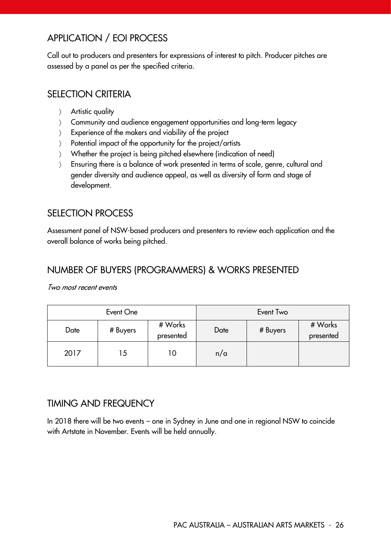# APPLICATION / EOI PROCESS

Call out to producers and presenters for expressions of interest to pitch. Producer pitches are assessed by a panel as per the specified criteria.

#### SELECTION CRITERIA

- > Artistic quality
- Community and audience engagement opportunities and long-term legacy
- $\sum$  Experience of the makers and viability of the project
- > Potential impact of the opportunity for the project/artists
- Whether the project is being pitched elsewhere (indication of need)
- Ensuring there is a balance of work presented in terms of scale, genre, cultural and gender diversity and audience appeal, as well as diversity of form and stage of development.

#### SELECTION PROCESS

Assessment panel of NSW-based producers and presenters to review each application and the overall balance of works being pitched.

#### NUMBER OF BUYERS (PROGRAMMERS) & WORKS PRESENTED

Two most recent events

|      | Event One |                      |      | Event Two |                      |
|------|-----------|----------------------|------|-----------|----------------------|
| Date | # Buyers  | # Works<br>presented | Date | # Buyers  | # Works<br>presented |
| 2017 | 15        | 10                   | n/a  |           |                      |

#### TIMING AND FREQUENCY

In 2018 there will be two events – one in Sydney in June and one in regional NSW to coincide with Artstate in November. Events will be held annually.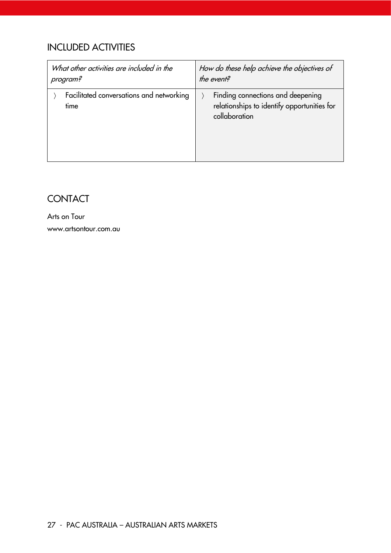# INCLUDED ACTIVITIES

| What other activities are included in the        | How do these help achieve the objectives of                                                       |
|--------------------------------------------------|---------------------------------------------------------------------------------------------------|
| program?                                         | the event?                                                                                        |
| Facilitated conversations and networking<br>time | Finding connections and deepening<br>relationships to identify opportunities for<br>collaboration |

# **CONTACT**

Arts on Tour www.artsontour.com.au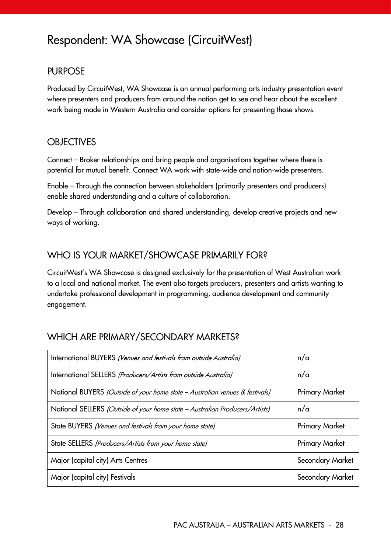# <span id="page-28-0"></span>Respondent: WA Showcase (CircuitWest)

#### PURPOSE

Produced by CircuitWest, WA Showcase is an annual performing arts industry presentation event where presenters and producers from around the nation get to see and hear about the excellent work being made in Western Australia and consider options for presenting those shows.

#### **OBJECTIVES**

Connect – Broker relationships and bring people and organisations together where there is potential for mutual benefit. Connect WA work with state-wide and nation-wide presenters.

Enable – Through the connection between stakeholders (primarily presenters and producers) enable shared understanding and a culture of collaboration.

Develop – Through collaboration and shared understanding, develop creative projects and new ways of working.

#### WHO IS YOUR MARKET/SHOWCASE PRIMARILY FOR?

CircuitWest's WA Showcase is designed exclusively for the presentation of West Australian work to a local and national market. The event also targets producers, presenters and artists wanting to undertake professional development in programming, audience development and community engagement.

#### WHICH ARE PRIMARY/SECONDARY MARKETS?

| International BUYERS (Venues and festivals from outside Australia)           | n/a                   |
|------------------------------------------------------------------------------|-----------------------|
| International SELLERS (Producers/Artists from outside Australia)             | n/a                   |
| National BUYERS (Outside of your home state - Australian venues & festivals) | <b>Primary Market</b> |
| National SELLERS (Outside of your home state - Australian Producers/Artists) | n/a                   |
| State BUYERS (Venues and festivals from your home state)                     | <b>Primary Market</b> |
| State SELLERS (Producers/Artists from your home state)                       | <b>Primary Market</b> |
| Major (capital city) Arts Centres                                            | Secondary Market      |
| Major (capital city) Festivals                                               | Secondary Market      |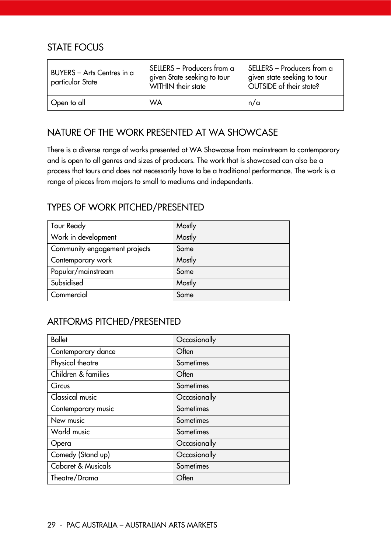#### STATE FOCUS

| BUYERS - Arts Centres in a<br>particular State | SELLERS - Producers from a<br>given State seeking to tour<br>WITHIN their state | SELLERS - Producers from a<br>given state seeking to tour<br>OUTSIDE of their state? |
|------------------------------------------------|---------------------------------------------------------------------------------|--------------------------------------------------------------------------------------|
| Open to all                                    | WA                                                                              | n/a                                                                                  |

#### NATURE OF THE WORK PRESENTED AT WA SHOWCASE

There is a diverse range of works presented at WA Showcase from mainstream to contemporary and is open to all genres and sizes of producers. The work that is showcased can also be a process that tours and does not necessarily have to be a traditional performance. The work is a range of pieces from majors to small to mediums and independents.

### TYPES OF WORK PITCHED/PRESENTED

| Tour Ready                    | Mostly |
|-------------------------------|--------|
| Work in development           | Mostly |
| Community engagement projects | Some   |
| Contemporary work             | Mostly |
| Popular/mainstream            | Some   |
| Subsidised                    | Mostly |
| Commercial                    | Some   |

#### ARTFORMS PITCHED/PRESENTED

| <b>Ballet</b>                 | Occasionally |
|-------------------------------|--------------|
| Contemporary dance            | Often        |
| Physical theatre              | Sometimes    |
| Children & families           | Often        |
| Circus                        | Sometimes    |
| Classical music               | Occasionally |
| Contemporary music            | Sometimes    |
| New music                     | Sometimes    |
| World music                   | Sometimes    |
| Opera                         | Occasionally |
| Comedy (Stand up)             | Occasionally |
| <b>Cabaret &amp; Musicals</b> | Sometimes    |
| Theatre/Drama                 | Often        |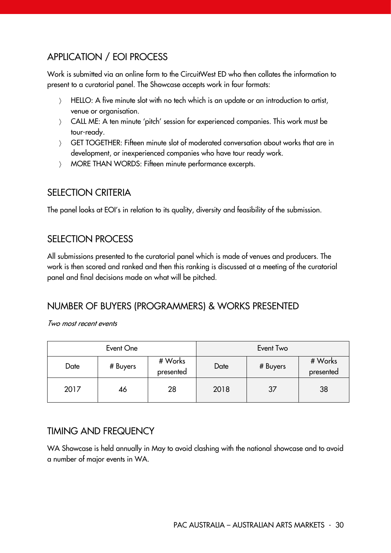# APPLICATION / EOI PROCESS

Work is submitted via an online form to the CircuitWest ED who then collates the information to present to a curatorial panel. The Showcase accepts work in four formats:

- HELLO: A five minute slot with no tech which is an update or an introduction to artist, venue or organisation.
- CALL ME: A ten minute 'pitch' session for experienced companies. This work must be tour-ready.
- GET TOGETHER: Fifteen minute slot of moderated conversation about works that are in development, or inexperienced companies who have tour ready work.
- MORE THAN WORDS: Fifteen minute performance excerpts.

#### SELECTION CRITERIA

The panel looks at EOI's in relation to its quality, diversity and feasibility of the submission.

#### SELECTION PROCESS

All submissions presented to the curatorial panel which is made of venues and producers. The work is then scored and ranked and then this ranking is discussed at a meeting of the curatorial panel and final decisions made on what will be pitched.

#### NUMBER OF BUYERS (PROGRAMMERS) & WORKS PRESENTED

Two most recent events

|      | Event One |                      |      | Event Two |                      |
|------|-----------|----------------------|------|-----------|----------------------|
| Date | # Buyers  | # Works<br>presented | Date | # Buyers  | # Works<br>presented |
| 2017 | 46        | 28                   | 2018 | 37        | 38                   |

#### TIMING AND FREQUENCY

WA Showcase is held annually in May to avoid clashing with the national showcase and to avoid a number of major events in WA.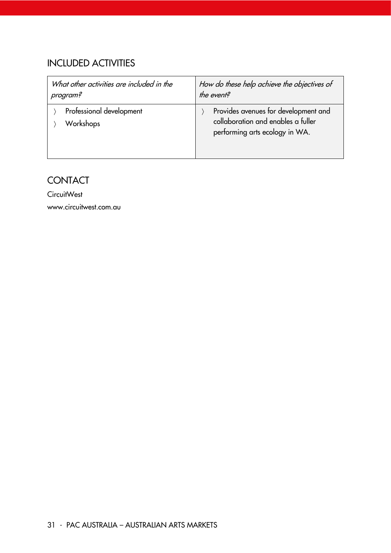# INCLUDED ACTIVITIES

| What other activities are included in the | How do these help achieve the objectives of                                                                  |
|-------------------------------------------|--------------------------------------------------------------------------------------------------------------|
| program?                                  | the event?                                                                                                   |
| Professional development<br>Workshops     | Provides avenues for development and<br>collaboration and enables a fuller<br>performing arts ecology in WA. |

# **CONTACT**

**CircuitWest** 

www.circuitwest.com.au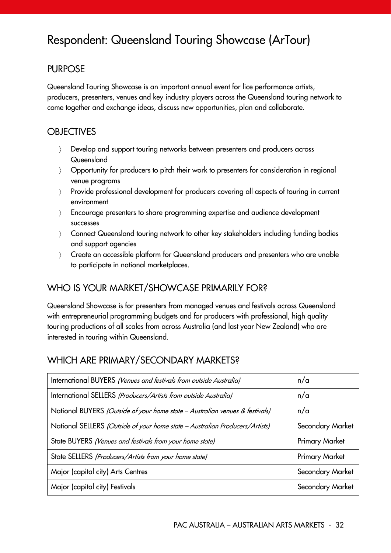# <span id="page-32-0"></span>Respondent: Queensland Touring Showcase (ArTour)

#### PURPOSE

Queensland Touring Showcase is an important annual event for lice performance artists, producers, presenters, venues and key industry players across the Queensland touring network to come together and exchange ideas, discuss new opportunities, plan and collaborate.

#### **OBJECTIVES**

- Develop and support touring networks between presenters and producers across Queensland
- Opportunity for producers to pitch their work to presenters for consideration in regional venue programs
- Provide professional development for producers covering all aspects of touring in current environment
- Encourage presenters to share programming expertise and audience development successes
- Connect Queensland touring network to other key stakeholders including funding bodies and support agencies
- Create an accessible platform for Queensland producers and presenters who are unable to participate in national marketplaces.

#### WHO IS YOUR MARKET/SHOWCASE PRIMARILY FOR?

Queensland Showcase is for presenters from managed venues and festivals across Queensland with entrepreneurial programming budgets and for producers with professional, high quality touring productions of all scales from across Australia (and last year New Zealand) who are interested in touring within Queensland.

#### WHICH ARE PRIMARY/SECONDARY MARKETS?

| International BUYERS (Venues and festivals from outside Australia)           | n/a                   |
|------------------------------------------------------------------------------|-----------------------|
| International SELLERS (Producers/Artists from outside Australia)             | n/a                   |
| National BUYERS (Outside of your home state - Australian venues & festivals) | n/a                   |
| National SELLERS (Outside of your home state - Australian Producers/Artists) | Secondary Market      |
| State BUYERS (Venues and festivals from your home state)                     | <b>Primary Market</b> |
| State SELLERS (Producers/Artists from your home state)                       | <b>Primary Market</b> |
| Major (capital city) Arts Centres                                            | Secondary Market      |
| Major (capital city) Festivals                                               | Secondary Market      |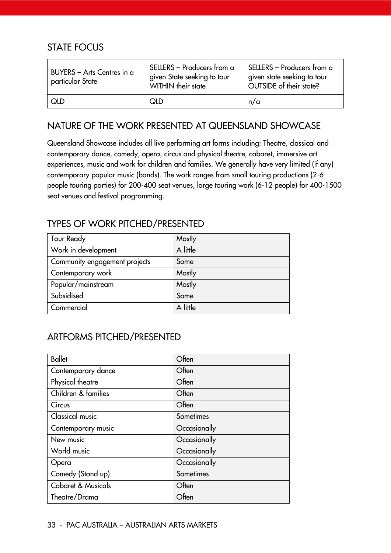#### STATE FOCUS

| BUYERS - Arts Centres in a<br>particular State | SELLERS - Producers from a<br>given State seeking to tour<br>WITHIN their state | SELLERS - Producers from a<br>given state seeking to tour<br>OUTSIDE of their state? |
|------------------------------------------------|---------------------------------------------------------------------------------|--------------------------------------------------------------------------------------|
| <b>QLD</b>                                     | QID                                                                             | n/a                                                                                  |

#### NATURE OF THE WORK PRESENTED AT QUEENSLAND SHOWCASE

Queensland Showcase includes all live performing art forms including: Theatre, classical and contemporary dance, comedy, opera, circus and physical theatre, cabaret, immersive art experiences, music and work for children and families. We generally have very limited (if any) contemporary popular music (bands). The work ranges from small touring productions (2-6 people touring parties) for 200-400 seat venues, large touring work (6-12 people) for 400-1500 seat venues and festival programming.

#### TYPES OF WORK PITCHED/PRESENTED

| Tour Ready                    | Mostly   |
|-------------------------------|----------|
| Work in development           | A little |
| Community engagement projects | Some     |
| Contemporary work             | Mostly   |
| Popular/mainstream            | Mostly   |
| Subsidised                    | Some     |
| Commercial                    | A little |

# ARTFORMS PITCHED/PRESENTED

| <b>Ballet</b>                 | Often        |
|-------------------------------|--------------|
| Contemporary dance            | Often        |
| Physical theatre              | Often        |
| Children & families           | Often        |
| Circus                        | Often        |
| Classical music               | Sometimes    |
| Contemporary music            | Occasionally |
| New music                     | Occasionally |
| World music                   | Occasionally |
| Opera                         | Occasionally |
| Comedy (Stand up)             | Sometimes    |
| <b>Cabaret &amp; Musicals</b> | Often        |
| Theatre/Drama                 | Often        |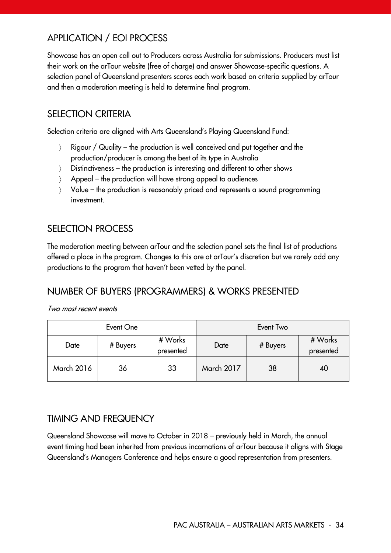# APPLICATION / EOI PROCESS

Showcase has an open call out to Producers across Australia for submissions. Producers must list their work on the arTour website (free of charge) and answer Showcase-specific questions. A selection panel of Queensland presenters scores each work based on criteria supplied by arTour and then a moderation meeting is held to determine final program.

#### SELECTION CRITERIA

Selection criteria are aligned with Arts Queensland's Playing Queensland Fund:

- Rigour / Quality the production is well conceived and put together and the production/producer is among the best of its type in Australia
- $\angle$  Distinctiveness the production is interesting and different to other shows
- $\angle$  Appeal the production will have strong appeal to audiences
- Value the production is reasonably priced and represents a sound programming investment.

#### SELECTION PROCESS

The moderation meeting between arTour and the selection panel sets the final list of productions offered a place in the program. Changes to this are at arTour's discretion but we rarely add any productions to the program that haven't been vetted by the panel.

# NUMBER OF BUYERS (PROGRAMMERS) & WORKS PRESENTED

#### Two most recent events

|                   | Event One |                      |                   | Event Two |                      |
|-------------------|-----------|----------------------|-------------------|-----------|----------------------|
| Date              | # Buyers  | # Works<br>presented | Date              | # Buyers  | # Works<br>presented |
| <b>March 2016</b> | 36        | 33                   | <b>March 2017</b> | 38        | 40                   |

#### TIMING AND FREQUENCY

Queensland Showcase will move to October in 2018 – previously held in March, the annual event timing had been inherited from previous incarnations of arTour because it aligns with Stage Queensland's Managers Conference and helps ensure a good representation from presenters.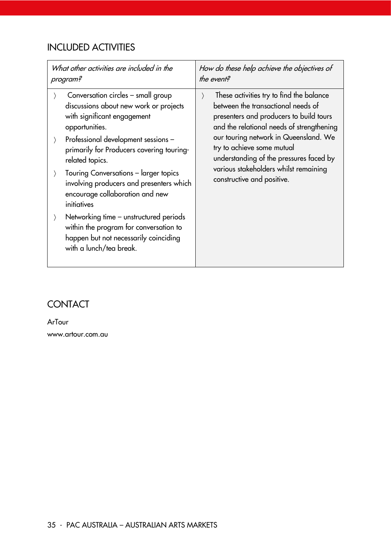# INCLUDED ACTIVITIES

| What other activities are included in the                                                                                                                                                                                                                                                                                                                                                                                                                                                                                                                           | How do these help achieve the objectives of                                                                                                                                                                                                                                                                                                                                  |  |
|---------------------------------------------------------------------------------------------------------------------------------------------------------------------------------------------------------------------------------------------------------------------------------------------------------------------------------------------------------------------------------------------------------------------------------------------------------------------------------------------------------------------------------------------------------------------|------------------------------------------------------------------------------------------------------------------------------------------------------------------------------------------------------------------------------------------------------------------------------------------------------------------------------------------------------------------------------|--|
| program?                                                                                                                                                                                                                                                                                                                                                                                                                                                                                                                                                            | the event?                                                                                                                                                                                                                                                                                                                                                                   |  |
| Conversation circles – small group<br>discussions about new work or projects<br>with significant engagement<br>opportunities.<br>Professional development sessions -<br>$\left\langle \right\rangle$<br>primarily for Producers covering touring-<br>related topics.<br>Touring Conversations - larger topics<br>involving producers and presenters which<br>encourage collaboration and new<br>initiatives<br>Networking time – unstructured periods<br>within the program for conversation to<br>happen but not necessarily coinciding<br>with a lunch/tea break. | These activities try to find the balance<br>$\rangle$<br>between the transactional needs of<br>presenters and producers to build tours<br>and the relational needs of strengthening<br>our touring network in Queensland. We<br>try to achieve some mutual<br>understanding of the pressures faced by<br>various stakeholders whilst remaining<br>constructive and positive. |  |

### **CONTACT**

ArTour www.artour.com.au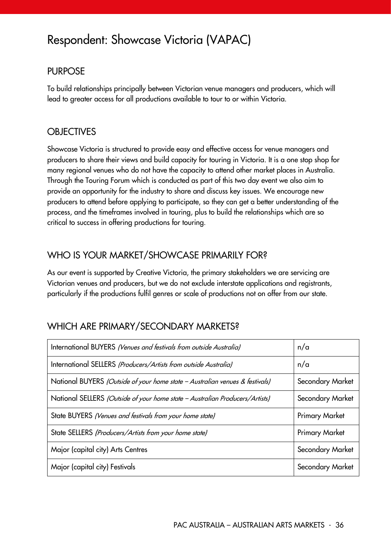# Respondent: Showcase Victoria (VAPAC)

#### PURPOSE

To build relationships principally between Victorian venue managers and producers, which will lead to greater access for all productions available to tour to or within Victoria.

#### **OBJECTIVES**

Showcase Victoria is structured to provide easy and effective access for venue managers and producers to share their views and build capacity for touring in Victoria. It is a one stop shop for many regional venues who do not have the capacity to attend other market places in Australia. Through the Touring Forum which is conducted as part of this two day event we also aim to provide an opportunity for the industry to share and discuss key issues. We encourage new producers to attend before applying to participate, so they can get a better understanding of the process, and the timeframes involved in touring, plus to build the relationships which are so critical to success in offering productions for touring.

#### WHO IS YOUR MARKET/SHOWCASE PRIMARILY FOR?

As our event is supported by Creative Victoria, the primary stakeholders we are servicing are Victorian venues and producers, but we do not exclude interstate applications and registrants, particularly if the productions fulfil genres or scale of productions not on offer from our state.

#### WHICH ARE PRIMARY/SECONDARY MARKETS?

| International BUYERS (Venues and festivals from outside Australia)           | n/a                   |
|------------------------------------------------------------------------------|-----------------------|
| International SELLERS (Producers/Artists from outside Australia)             | n/a                   |
| National BUYERS (Outside of your home state - Australian venues & festivals) | Secondary Market      |
| National SELLERS (Outside of your home state - Australian Producers/Artists) | Secondary Market      |
| State BUYERS (Venues and festivals from your home state)                     | <b>Primary Market</b> |
| State SELLERS (Producers/Artists from your home state)                       | <b>Primary Market</b> |
| Major (capital city) Arts Centres                                            | Secondary Market      |
| Major (capital city) Festivals                                               | Secondary Market      |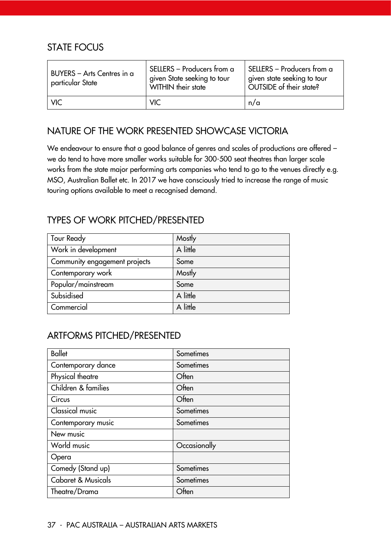#### STATE FOCUS

| BUYERS - Arts Centres in a<br>particular State | SELLERS - Producers from a<br>given State seeking to tour<br>WITHIN their state | SELLERS - Producers from a<br>given state seeking to tour<br>OUTSIDE of their state? |
|------------------------------------------------|---------------------------------------------------------------------------------|--------------------------------------------------------------------------------------|
| <b>VIC</b>                                     | <b>VIC</b>                                                                      | n/a                                                                                  |

### NATURE OF THE WORK PRESENTED SHOWCASE VICTORIA

We endeavour to ensure that a good balance of genres and scales of productions are offered we do tend to have more smaller works suitable for 300-500 seat theatres than larger scale works from the state major performing arts companies who tend to go to the venues directly e.g. MSO, Australian Ballet etc. In 2017 we have consciously tried to increase the range of music touring options available to meet a recognised demand.

### TYPES OF WORK PITCHED/PRESENTED

| Tour Ready                    | Mostly   |
|-------------------------------|----------|
| Work in development           | A little |
| Community engagement projects | Some     |
| Contemporary work             | Mostly   |
| Popular/mainstream            | Some     |
| Subsidised                    | A little |
| Commercial                    | A little |

## ARTFORMS PITCHED/PRESENTED

| <b>Ballet</b>                 | Sometimes    |
|-------------------------------|--------------|
| Contemporary dance            | Sometimes    |
| Physical theatre              | Often        |
| Children & families           | Often        |
| Circus                        | Often        |
| <b>Classical music</b>        | Sometimes    |
| Contemporary music            | Sometimes    |
| New music                     |              |
| World music                   | Occasionally |
| Opera                         |              |
| Comedy (Stand up)             | Sometimes    |
| <b>Cabaret &amp; Musicals</b> | Sometimes    |
| Theatre/Drama                 | Often        |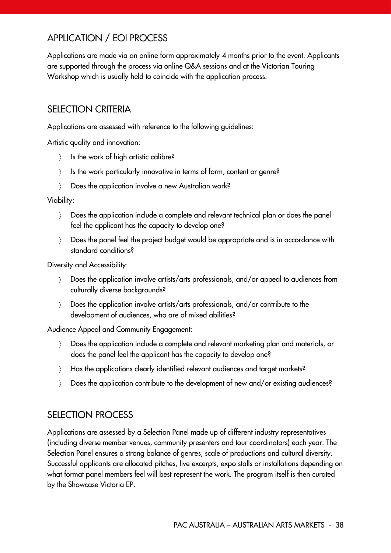# APPLICATION / EOI PROCESS

Applications are made via an online form approximately 4 months prior to the event. Applicants are supported through the process via online Q&A sessions and at the Victorian Touring Workshop which is usually held to coincide with the application process.

#### SELECTION CRITERIA

Applications are assessed with reference to the following guidelines:

Artistic quality and innovation:

- $\angle$  Is the work of high artistic calibre?
- ) Is the work particularly innovative in terms of form, content or genre?
- > Does the application involve a new Australian work?

Viability:

- Does the application include a complete and relevant technical plan or does the panel feel the applicant has the capacity to develop one?
- Does the panel feel the project budget would be appropriate and is in accordance with standard conditions?

Diversity and Accessibility:

- Does the application involve artists/arts professionals, and/or appeal to audiences from culturally diverse backgrounds?
- Does the application involve artists/arts professionals, and/or contribute to the development of audiences, who are of mixed abilities?

Audience Appeal and Community Engagement:

- Does the application include a complete and relevant marketing plan and materials, or does the panel feel the applicant has the capacity to develop one?
- Has the applications clearly identified relevant audiences and target markets?
- Does the application contribute to the development of new and/or existing audiences?

#### SELECTION PROCESS

Applications are assessed by a Selection Panel made up of different industry representatives (including diverse member venues, community presenters and tour coordinators) each year. The Selection Panel ensures a strong balance of genres, scale of productions and cultural diversity. Successful applicants are allocated pitches, live excerpts, expo stalls or installations depending on what format panel members feel will best represent the work. The program itself is then curated by the Showcase Victoria EP.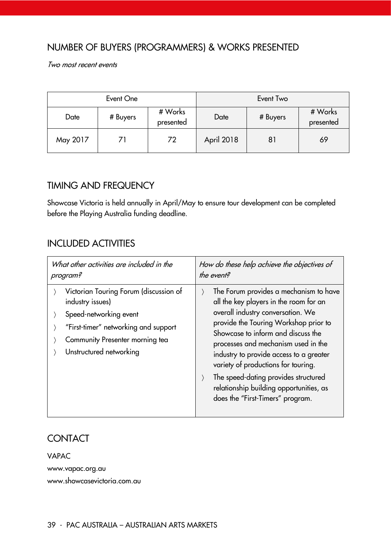#### NUMBER OF BUYERS (PROGRAMMERS) & WORKS PRESENTED

Two most recent events

|          | Event One |                      |            | Event Two |                      |
|----------|-----------|----------------------|------------|-----------|----------------------|
| Date     | # Buyers  | # Works<br>presented | Date       | # Buyers  | # Works<br>presented |
| May 2017 | 71        | 72                   | April 2018 | 81        | 69                   |

#### TIMING AND FREQUENCY

Showcase Victoria is held annually in April/May to ensure tour development can be completed before the Playing Australia funding deadline.

#### INCLUDED ACTIVITIES

| What other activities are included in the                                                                                                                                                  | How do these help achieve the objectives of                                                                                                                                                                                                                                                                                                                                                                                                          |
|--------------------------------------------------------------------------------------------------------------------------------------------------------------------------------------------|------------------------------------------------------------------------------------------------------------------------------------------------------------------------------------------------------------------------------------------------------------------------------------------------------------------------------------------------------------------------------------------------------------------------------------------------------|
| program?                                                                                                                                                                                   | the event?                                                                                                                                                                                                                                                                                                                                                                                                                                           |
| Victorian Touring Forum (discussion of<br>industry issues)<br>Speed-networking event<br>"First-timer" networking and support<br>Community Presenter morning tea<br>Unstructured networking | The Forum provides a mechanism to have<br>all the key players in the room for an<br>overall industry conversation. We<br>provide the Touring Workshop prior to<br>Showcase to inform and discuss the<br>processes and mechanism used in the<br>industry to provide access to a greater<br>variety of productions for touring.<br>The speed-dating provides structured<br>relationship building opportunities, as<br>does the "First-Timers" program. |

#### **CONTACT**

VAPAC www.vapac.org.au www.showcasevictoria.com.au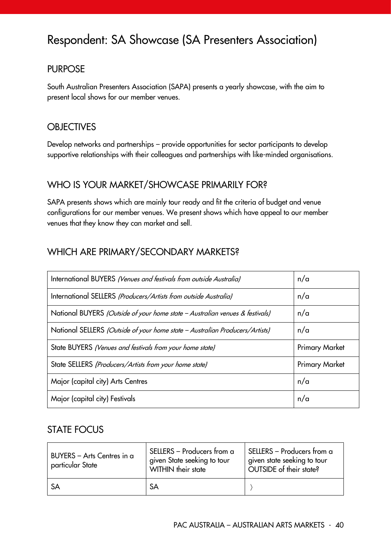# Respondent: SA Showcase (SA Presenters Association)

#### PURPOSE

South Australian Presenters Association (SAPA) presents a yearly showcase, with the aim to present local shows for our member venues.

#### **OBJECTIVES**

Develop networks and partnerships – provide opportunities for sector participants to develop supportive relationships with their colleagues and partnerships with like-minded organisations.

#### WHO IS YOUR MARKET/SHOWCASE PRIMARILY FOR?

SAPA presents shows which are mainly tour ready and fit the criteria of budget and venue configurations for our member venues. We present shows which have appeal to our member venues that they know they can market and sell.

### WHICH ARE PRIMARY/SECONDARY MARKETS?

| International BUYERS (Venues and festivals from outside Australia)           | n/a                   |
|------------------------------------------------------------------------------|-----------------------|
| International SELLERS (Producers/Artists from outside Australia)             | n/a                   |
| National BUYERS (Outside of your home state - Australian venues & festivals) | n/a                   |
| National SELLERS (Outside of your home state - Australian Producers/Artists) | n/a                   |
| State BUYERS (Venues and festivals from your home state)                     | <b>Primary Market</b> |
| State SELLERS (Producers/Artists from your home state)                       | <b>Primary Market</b> |
| Major (capital city) Arts Centres                                            | n/a                   |
| Major (capital city) Festivals                                               | n/a                   |

#### STATE FOCUS

| BUYERS - Arts Centres in a<br>particular State | SELLERS - Producers from a<br>given State seeking to tour<br>WITHIN their state | SELLERS – Producers from a<br>given state seeking to tour<br>OUTSIDE of their state? |
|------------------------------------------------|---------------------------------------------------------------------------------|--------------------------------------------------------------------------------------|
| <b>SA</b>                                      | <b>SA</b>                                                                       |                                                                                      |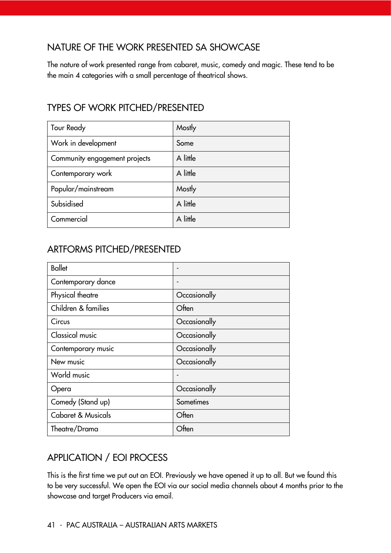### NATURE OF THE WORK PRESENTED SA SHOWCASE

The nature of work presented range from cabaret, music, comedy and magic. These tend to be the main 4 categories with a small percentage of theatrical shows.

## TYPES OF WORK PITCHED/PRESENTED

| <b>Tour Ready</b>             | Mostly   |
|-------------------------------|----------|
| Work in development           | Some     |
| Community engagement projects | A little |
| Contemporary work             | A little |
| Popular/mainstream            | Mostly   |
| Subsidised                    | A little |
| Commercial                    | A little |

## ARTFORMS PITCHED/PRESENTED

| <b>Ballet</b>       |              |
|---------------------|--------------|
| Contemporary dance  |              |
| Physical theatre    | Occasionally |
| Children & families | Often        |
| Circus              | Occasionally |
| Classical music     | Occasionally |
| Contemporary music  | Occasionally |
| New music           | Occasionally |
| World music         |              |
| Opera               | Occasionally |
| Comedy (Stand up)   | Sometimes    |
| Cabaret & Musicals  | Often        |
| Theatre/Drama       | Often        |

# APPLICATION / EOI PROCESS

This is the first time we put out an EOI. Previously we have opened it up to all. But we found this to be very successful. We open the EOI via our social media channels about 4 months prior to the showcase and target Producers via email.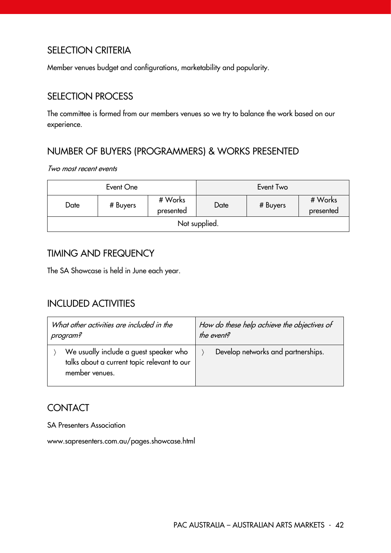### SELECTION CRITERIA

Member venues budget and configurations, marketability and popularity.

### SELECTION PROCESS

The committee is formed from our members venues so we try to balance the work based on our experience.

# NUMBER OF BUYERS (PROGRAMMERS) & WORKS PRESENTED

Two most recent events

|               | Event One |                      |      | Event Two |                      |
|---------------|-----------|----------------------|------|-----------|----------------------|
| Date          | # Buyers  | # Works<br>presented | Date | # Buyers  | # Works<br>presented |
| Not supplied. |           |                      |      |           |                      |

#### TIMING AND FREQUENCY

The SA Showcase is held in June each year.

#### INCLUDED ACTIVITIES

| What other activities are included in the                                                               | How do these help achieve the objectives of |
|---------------------------------------------------------------------------------------------------------|---------------------------------------------|
| program?                                                                                                | the event?                                  |
| We usually include a guest speaker who<br>talks about a current topic relevant to our<br>member venues. | Develop networks and partnerships.          |

# **CONTACT**

SA Presenters Association

www.sapresenters.com.au/pages.showcase.html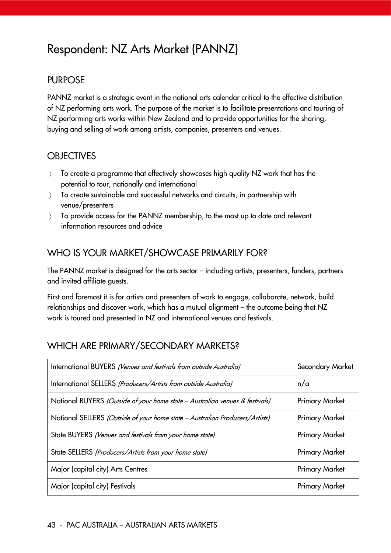# Respondent: NZ Arts Market (PANNZ)

#### PURPOSE

PANNZ market is a strategic event in the national arts calendar critical to the effective distribution of NZ performing arts work. The purpose of the market is to facilitate presentations and touring of NZ performing arts works within New Zealand and to provide opportunities for the sharing, buying and selling of work among artists, companies, presenters and venues.

#### **OBJECTIVES**

- To create a programme that effectively showcases high quality NZ work that has the potential to tour, nationally and international
- To create sustainable and successful networks and circuits, in partnership with venue/presenters
- To provide access for the PANNZ membership, to the most up to date and relevant information resources and advice

#### WHO IS YOUR MARKET/SHOWCASE PRIMARILY FOR?

The PANNZ market is designed for the arts sector – including artists, presenters, funders, partners and invited affiliate guests.

First and foremost it is for artists and presenters of work to engage, collaborate, network, build relationships and discover work, which has a mutual alignment – the outcome being that NZ work is toured and presented in NZ and international venues and festivals.

#### WHICH ARE PRIMARY/SECONDARY MARKETS?

| International BUYERS (Venues and festivals from outside Australia)           | Secondary Market      |
|------------------------------------------------------------------------------|-----------------------|
| International SELLERS (Producers/Artists from outside Australia)             | n/a                   |
| National BUYERS (Outside of your home state - Australian venues & festivals) | <b>Primary Market</b> |
| National SELLERS (Outside of your home state - Australian Producers/Artists) | <b>Primary Market</b> |
| State BUYERS (Venues and festivals from your home state)                     | <b>Primary Market</b> |
| State SELLERS (Producers/Artists from your home state)                       | <b>Primary Market</b> |
| Major (capital city) Arts Centres                                            | <b>Primary Market</b> |
| Major (capital city) Festivals                                               | <b>Primary Market</b> |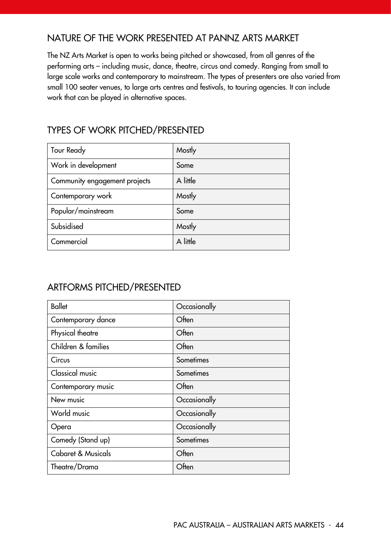#### NATURE OF THE WORK PRESENTED AT PANNZ ARTS MARKET

The NZ Arts Market is open to works being pitched or showcased, from all genres of the performing arts – including music, dance, theatre, circus and comedy. Ranging from small to large scale works and contemporary to mainstream. The types of presenters are also varied from small 100 seater venues, to large arts centres and festivals, to touring agencies. It can include work that can be played in alternative spaces.

### TYPES OF WORK PITCHED/PRESENTED

| <b>Tour Ready</b>             | Mostly   |
|-------------------------------|----------|
| Work in development           | Some     |
| Community engagement projects | A little |
| Contemporary work             | Mostly   |
| Popular/mainstream            | Some     |
| Subsidised                    | Mostly   |
| Commercial                    | A little |

#### ARTFORMS PITCHED/PRESENTED

| <b>Ballet</b>                 | Occasionally |
|-------------------------------|--------------|
| Contemporary dance            | Often        |
| Physical theatre              | Often        |
| Children & families           | Often        |
| Circus                        | Sometimes    |
| <b>Classical music</b>        | Sometimes    |
| Contemporary music            | Often        |
| New music                     | Occasionally |
| World music                   | Occasionally |
| Opera                         | Occasionally |
| Comedy (Stand up)             | Sometimes    |
| <b>Cabaret &amp; Musicals</b> | Often        |
| Theatre/Drama                 | Often        |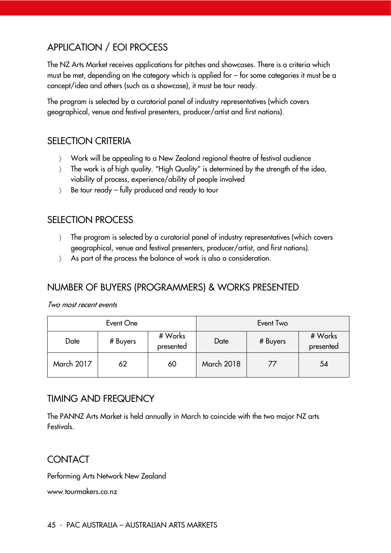## APPLICATION / EOI PROCESS

The NZ Arts Market receives applications for pitches and showcases. There is a criteria which must be met, depending on the category which is applied for – for some categories it must be a concept/idea and others (such as a showcase), it must be tour ready.

The program is selected by a curatorial panel of industry representatives (which covers geographical, venue and festival presenters, producer/artist and first nations).

#### SELECTION CRITERIA

- Work will be appealing to a New Zealand regional theatre of festival audience
- The work is of high quality. "High Quality" is determined by the strength of the idea, viability of process, experience/ability of people involved
- $\angle$  Be tour ready fully produced and ready to tour

#### SELECTION PROCESS

- The program is selected by a curatorial panel of industry representatives (which covers geographical, venue and festival presenters, producer/artist, and first nations).
- As part of the process the balance of work is also a consideration.

#### NUMBER OF BUYERS (PROGRAMMERS) & WORKS PRESENTED

Two most recent events

| Event One         |    |                      | Event Two         |    |                      |
|-------------------|----|----------------------|-------------------|----|----------------------|
| # Buyers<br>Date  |    | # Works<br>presented | # Buyers<br>Date  |    | # Works<br>presented |
| <b>March 2017</b> | 62 | 60                   | <b>March 2018</b> | 77 | 54                   |

#### TIMING AND FREQUENCY

The PANNZ Arts Market is held annually in March to coincide with the two major NZ arts Festivals.

#### CONTACT

Performing Arts Network New Zealand

www.tourmakers.co.nz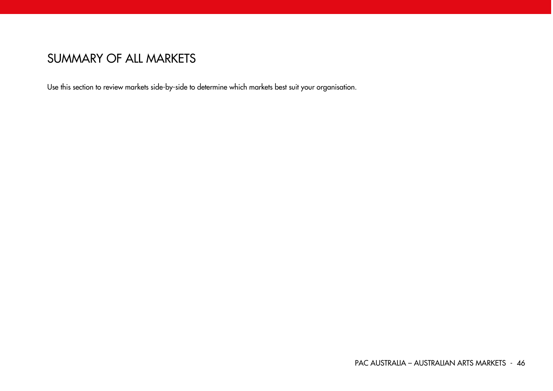# SUMMARY OF ALL MARKETS

Use this section to review markets side-by-side to determine which markets best suit your organisation.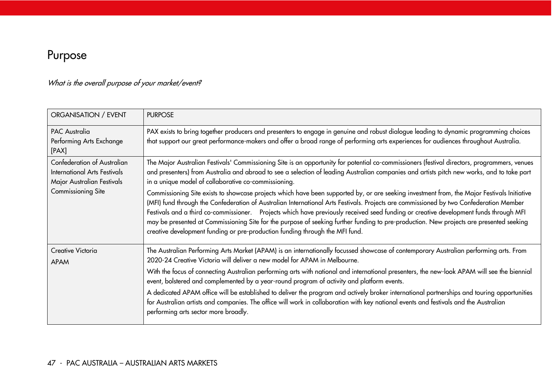# Purpose

## What is the overall purpose of your market/event?

| ORGANISATION / EVENT                                                                             | <b>PURPOSE</b>                                                                                                                                                                                                                                                                                                                                                                                                                                                                                                                                                                                                                                            |
|--------------------------------------------------------------------------------------------------|-----------------------------------------------------------------------------------------------------------------------------------------------------------------------------------------------------------------------------------------------------------------------------------------------------------------------------------------------------------------------------------------------------------------------------------------------------------------------------------------------------------------------------------------------------------------------------------------------------------------------------------------------------------|
| <b>PAC Australia</b><br>Performing Arts Exchange<br>[PAX]                                        | PAX exists to bring together producers and presenters to engage in genuine and robust dialogue leading to dynamic programming choices<br>that support our great performance-makers and offer a broad range of performing arts experiences for audiences throughout Australia.                                                                                                                                                                                                                                                                                                                                                                             |
| Confederation of Australian<br><b>International Arts Festivals</b><br>Major Australian Festivals | The Major Australian Festivals' Commissioning Site is an opportunity for potential co-commissioners (festival directors, programmers, venues<br>and presenters) from Australia and abroad to see a selection of leading Australian companies and artists pitch new works, and to take part<br>in a unique model of collaborative co-commissioning.                                                                                                                                                                                                                                                                                                        |
| Commissioning Site                                                                               | Commissioning Site exists to showcase projects which have been supported by, or are seeking investment from, the Major Festivals Initiative<br>(MFI) fund through the Confederation of Australian International Arts Festivals. Projects are commissioned by two Confederation Member<br>Festivals and a third co-commissioner. Projects which have previously received seed funding or creative development funds through MFI<br>may be presented at Commissioning Site for the purpose of seeking further funding to pre-production. New projects are presented seeking<br>creative development funding or pre-production funding through the MFI fund. |
| Creative Victoria<br><b>APAM</b>                                                                 | The Australian Performing Arts Market (APAM) is an internationally focussed showcase of contemporary Australian performing arts. From<br>2020-24 Creative Victoria will deliver a new model for APAM in Melbourne.                                                                                                                                                                                                                                                                                                                                                                                                                                        |
|                                                                                                  | With the focus of connecting Australian performing arts with national and international presenters, the new-look APAM will see the biennial<br>event, bolstered and complemented by a year-round program of activity and platform events.                                                                                                                                                                                                                                                                                                                                                                                                                 |
|                                                                                                  | A dedicated APAM office will be established to deliver the program and actively broker international partnerships and touring opportunities<br>for Australian artists and companies. The office will work in collaboration with key national events and festivals and the Australian<br>performing arts sector more broadly.                                                                                                                                                                                                                                                                                                                              |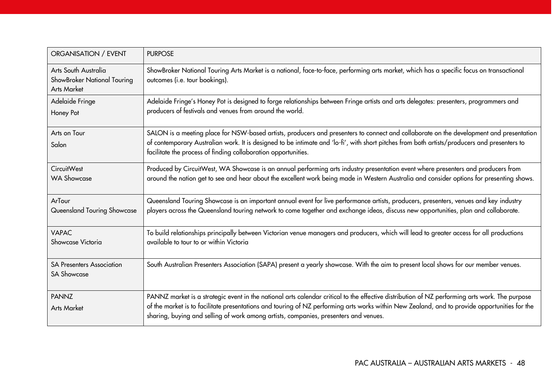| ORGANISATION / EVENT                                                      | <b>PURPOSE</b>                                                                                                                                                                                                                                                                                                                                                                          |
|---------------------------------------------------------------------------|-----------------------------------------------------------------------------------------------------------------------------------------------------------------------------------------------------------------------------------------------------------------------------------------------------------------------------------------------------------------------------------------|
| Arts South Australia<br>ShowBroker National Touring<br><b>Arts Market</b> | ShowBroker National Touring Arts Market is a national, face-to-face, performing arts market, which has a specific focus on transactional<br>outcomes (i.e. tour bookings).                                                                                                                                                                                                              |
| Adelaide Fringe<br>Honey Pot                                              | Adelaide Fringe's Honey Pot is designed to forge relationships between Fringe artists and arts delegates: presenters, programmers and<br>producers of festivals and venues from around the world.                                                                                                                                                                                       |
| Arts on Tour<br>Salon                                                     | SALON is a meeting place for NSW-based artists, producers and presenters to connect and collaborate on the development and presentation<br>of contemporary Australian work. It is designed to be intimate and 'lo-fi', with short pitches from both artists/producers and presenters to<br>facilitate the process of finding collaboration opportunities.                               |
| <b>CircuitWest</b><br><b>WA Showcase</b>                                  | Produced by CircuitWest, WA Showcase is an annual performing arts industry presentation event where presenters and producers from<br>around the nation get to see and hear about the excellent work being made in Western Australia and consider options for presenting shows.                                                                                                          |
| ArTour<br>Queensland Touring Showcase                                     | Queensland Touring Showcase is an important annual event for live performance artists, producers, presenters, venues and key industry<br>players across the Queensland touring network to come together and exchange ideas, discuss new opportunities, plan and collaborate.                                                                                                            |
| <b>VAPAC</b><br>Showcase Victoria                                         | To build relationships principally between Victorian venue managers and producers, which will lead to greater access for all productions<br>available to tour to or within Victoria                                                                                                                                                                                                     |
| <b>SA Presenters Association</b><br><b>SA Showcase</b>                    | South Australian Presenters Association (SAPA) present a yearly showcase. With the aim to present local shows for our member venues.                                                                                                                                                                                                                                                    |
| <b>PANNZ</b><br><b>Arts Market</b>                                        | PANNZ market is a strategic event in the national arts calendar critical to the effective distribution of NZ performing arts work. The purpose<br>of the market is to facilitate presentations and touring of NZ performing arts works within New Zealand, and to provide opportunities for the<br>sharing, buying and selling of work among artists, companies, presenters and venues. |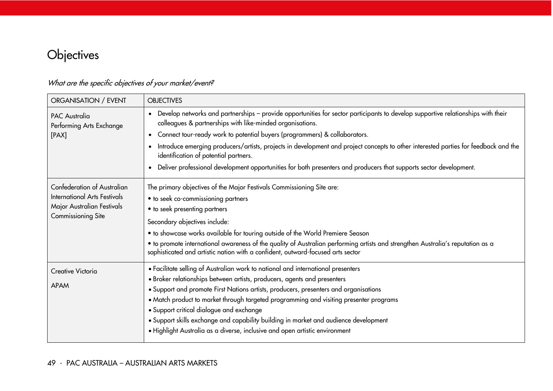# **Objectives**

| ORGANISATION / EVENT                             | <b>OBJECTIVES</b>                                                                                                                                                                                                  |  |  |  |  |
|--------------------------------------------------|--------------------------------------------------------------------------------------------------------------------------------------------------------------------------------------------------------------------|--|--|--|--|
| <b>PAC Australia</b><br>Performing Arts Exchange | • Develop networks and partnerships - provide opportunities for sector participants to develop supportive relationships with their<br>colleagues & partnerships with like-minded organisations.                    |  |  |  |  |
| [PAX]                                            | • Connect tour-ready work to potential buyers (programmers) & collaborators.                                                                                                                                       |  |  |  |  |
|                                                  | Introduce emerging producers/artists, projects in development and project concepts to other interested parties for feedback and the<br>identification of potential partners.                                       |  |  |  |  |
|                                                  | • Deliver professional development opportunities for both presenters and producers that supports sector development.                                                                                               |  |  |  |  |
| Confederation of Australian                      | The primary objectives of the Major Festivals Commissioning Site are:                                                                                                                                              |  |  |  |  |
| <b>International Arts Festivals</b>              | • to seek co-commissioning partners                                                                                                                                                                                |  |  |  |  |
| Major Australian Festivals                       | • to seek presenting partners                                                                                                                                                                                      |  |  |  |  |
| <b>Commissioning Site</b>                        | Secondary objectives include:                                                                                                                                                                                      |  |  |  |  |
|                                                  | • to showcase works available for touring outside of the World Premiere Season                                                                                                                                     |  |  |  |  |
|                                                  | • to promote international awareness of the quality of Australian performing artists and strengthen Australia's reputation as a<br>sophisticated and artistic nation with a confident, outward-focused arts sector |  |  |  |  |
| Creative Victoria                                | • Facilitate selling of Australian work to national and international presenters                                                                                                                                   |  |  |  |  |
| APAM                                             | · Broker relationships between artists, producers, agents and presenters                                                                                                                                           |  |  |  |  |
|                                                  | • Support and promote First Nations artists, producers, presenters and organisations                                                                                                                               |  |  |  |  |
|                                                  | • Match product to market through targeted programming and visiting presenter programs                                                                                                                             |  |  |  |  |
|                                                  | • Support critical dialogue and exchange<br>• Support skills exchange and capability building in market and audience development                                                                                   |  |  |  |  |
|                                                  | · Highlight Australia as a diverse, inclusive and open artistic environment                                                                                                                                        |  |  |  |  |
|                                                  |                                                                                                                                                                                                                    |  |  |  |  |

## What are the specific objectives of your market/event?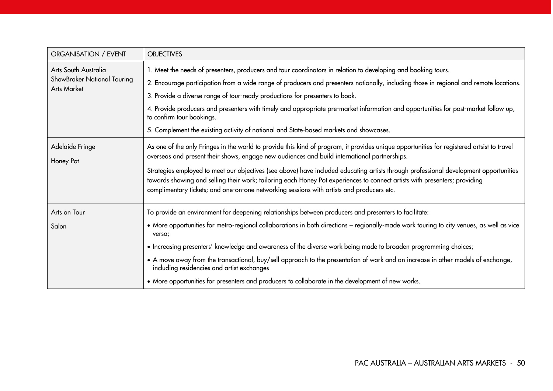| ORGANISATION / EVENT                                                      | <b>OBJECTIVES</b>                                                                                                                                                                                                                                                                                                                                                                                                                                                                                                                                                                                                                                                     |
|---------------------------------------------------------------------------|-----------------------------------------------------------------------------------------------------------------------------------------------------------------------------------------------------------------------------------------------------------------------------------------------------------------------------------------------------------------------------------------------------------------------------------------------------------------------------------------------------------------------------------------------------------------------------------------------------------------------------------------------------------------------|
| Arts South Australia<br>ShowBroker National Touring<br><b>Arts Market</b> | 1. Meet the needs of presenters, producers and tour coordinators in relation to developing and booking tours.<br>2. Encourage participation from a wide range of producers and presenters nationally, including those in regional and remote locations.<br>3. Provide a diverse range of tour-ready productions for presenters to book.<br>4. Provide producers and presenters with timely and appropriate pre-market information and opportunities for post-market follow up,<br>to confirm tour bookings.<br>5. Complement the existing activity of national and State-based markets and showcases.                                                                 |
| Adelaide Fringe<br>Honey Pot                                              | As one of the only Fringes in the world to provide this kind of program, it provides unique opportunities for registered artsist to travel<br>overseas and present their shows, engage new audiences and build international partnerships.<br>Strategies employed to meet our objectives (see above) have included educating artists through professional development opportunities<br>towards showing and selling their work; tailoring each Honey Pot experiences to connect artists with presenters; providing<br>complimentary tickets; and one-on-one networking sessions with artists and producers etc.                                                        |
| Arts on Tour<br>Salon                                                     | To provide an environment for deepening relationships between producers and presenters to facilitate:<br>• More opportunities for metro-regional collaborations in both directions - regionally-made work touring to city venues, as well as vice<br>versa;<br>• Increasing presenters' knowledge and awareness of the diverse work being made to broaden programming choices;<br>• A move away from the transactional, buy/sell approach to the presentation of work and an increase in other models of exchange,<br>including residencies and artist exchanges<br>• More opportunities for presenters and producers to collaborate in the development of new works. |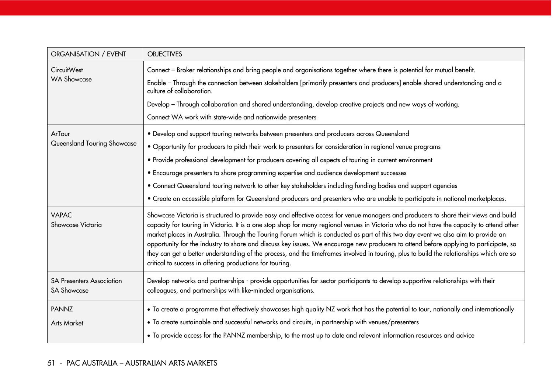| <b>OBJECTIVES</b>                                                                                                                                                                                                                                                                                                                                                                                                                                                                                                                                                                                                                                                                                                                                                      |
|------------------------------------------------------------------------------------------------------------------------------------------------------------------------------------------------------------------------------------------------------------------------------------------------------------------------------------------------------------------------------------------------------------------------------------------------------------------------------------------------------------------------------------------------------------------------------------------------------------------------------------------------------------------------------------------------------------------------------------------------------------------------|
| Connect - Broker relationships and bring people and organisations together where there is potential for mutual benefit.<br>Enable - Through the connection between stakeholders [primarily presenters and producers] enable shared understanding and a<br>culture of collaboration.                                                                                                                                                                                                                                                                                                                                                                                                                                                                                    |
| Develop - Through collaboration and shared understanding, develop creative projects and new ways of working.<br>Connect WA work with state-wide and nationwide presenters                                                                                                                                                                                                                                                                                                                                                                                                                                                                                                                                                                                              |
| · Develop and support touring networks between presenters and producers across Queensland<br>• Opportunity for producers to pitch their work to presenters for consideration in regional venue programs<br>• Provide professional development for producers covering all aspects of touring in current environment<br>• Encourage presenters to share programming expertise and audience development successes<br>• Connect Queensland touring network to other key stakeholders including funding bodies and support agencies<br>• Create an accessible platform for Queensland producers and presenters who are unable to participate in national marketplaces.                                                                                                      |
| Showcase Victoria is structured to provide easy and effective access for venue managers and producers to share their views and build<br>capacity for touring in Victoria. It is a one stop shop for many regional venues in Victoria who do not have the capacity to attend other<br>market places in Australia. Through the Touring Forum which is conducted as part of this two day event we also aim to provide an<br>opportunity for the industry to share and discuss key issues. We encourage new producers to attend before applying to participate, so<br>they can get a better understanding of the process, and the timeframes involved in touring, plus to build the relationships which are so<br>critical to success in offering productions for touring. |
| Develop networks and partnerships - provide opportunities for sector participants to develop supportive relationships with their<br>colleagues, and partnerships with like-minded organisations.                                                                                                                                                                                                                                                                                                                                                                                                                                                                                                                                                                       |
| • To create a programme that effectively showcases high quality NZ work that has the potential to tour, nationally and internationally<br>• To create sustainable and successful networks and circuits, in partnership with venues/presenters<br>• To provide access for the PANNZ membership, to the most up to date and relevant information resources and advice                                                                                                                                                                                                                                                                                                                                                                                                    |
|                                                                                                                                                                                                                                                                                                                                                                                                                                                                                                                                                                                                                                                                                                                                                                        |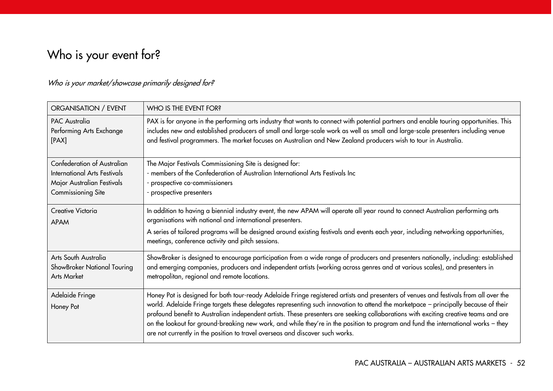# Who is your event for?

## Who is your market/showcase primarily designed for?

| ORGANISATION / EVENT                                                      | WHO IS THE EVENT FOR?                                                                                                                                                                                                                                                                                                                                                                         |
|---------------------------------------------------------------------------|-----------------------------------------------------------------------------------------------------------------------------------------------------------------------------------------------------------------------------------------------------------------------------------------------------------------------------------------------------------------------------------------------|
| <b>PAC Australia</b><br>Performing Arts Exchange<br>[PAX]                 | PAX is for anyone in the performing arts industry that wants to connect with potential partners and enable touring opportunities. This<br>includes new and established producers of small and large-scale work as well as small and large-scale presenters including venue<br>and festival programmers. The market focuses on Australian and New Zealand producers wish to tour in Australia. |
| <b>Confederation of Australian</b>                                        | The Major Festivals Commissioning Site is designed for:                                                                                                                                                                                                                                                                                                                                       |
| International Arts Festivals<br>Major Australian Festivals                | - members of the Confederation of Australian International Arts Festivals Inc<br>- prospective co-commissioners                                                                                                                                                                                                                                                                               |
| Commissioning Site                                                        | prospective presenters                                                                                                                                                                                                                                                                                                                                                                        |
| Creative Victoria<br><b>APAM</b>                                          | In addition to having a biennial industry event, the new APAM will operate all year round to connect Australian performing arts<br>organisations with national and international presenters.<br>A series of tailored programs will be designed around existing festivals and events each year, including networking opportunities,<br>meetings, conference activity and pitch sessions.       |
| Arts South Australia<br>ShowBroker National Touring<br><b>Arts Market</b> | ShowBroker is designed to encourage participation from a wide range of producers and presenters nationally, including: established<br>and emerging companies, producers and independent artists (working across genres and at various scales), and presenters in<br>metropolitan, regional and remote locations.                                                                              |
| Adelaide Fringe                                                           | Honey Pot is designed for both tour-ready Adelaide Fringe registered artists and presenters of venues and festivals from all over the<br>world. Adelaide Fringe targets these delegates representing such innovation to attend the marketpace - principally because of their                                                                                                                  |
| Honey Pot                                                                 | profound benefit to Australian independent artists. These presenters are seeking collaborations with exciting creative teams and are<br>on the lookout for ground-breaking new work, and while they're in the position to program and fund the international works - they<br>are not currently in the position to travel overseas and discover such works.                                    |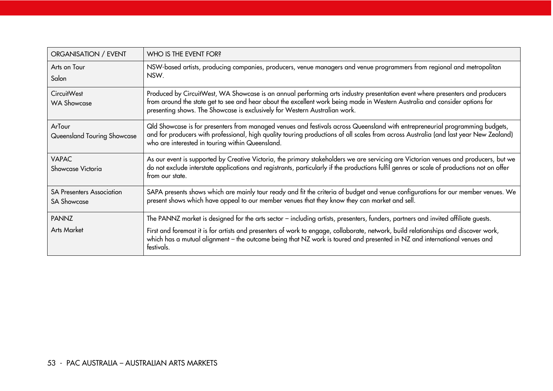| ORGANISATION / EVENT                                   | WHO IS THE EVENT FOR?                                                                                                                                                                                                                                                                                                                     |
|--------------------------------------------------------|-------------------------------------------------------------------------------------------------------------------------------------------------------------------------------------------------------------------------------------------------------------------------------------------------------------------------------------------|
| Arts on Tour<br>Salon                                  | NSW-based artists, producing companies, producers, venue managers and venue programmers from regional and metropolitan<br>NSW.                                                                                                                                                                                                            |
| CircuitWest<br><b>WA Showcase</b>                      | Produced by CircuitWest, WA Showcase is an annual performing arts industry presentation event where presenters and producers<br>from around the state get to see and hear about the excellent work being made in Western Australia and consider options for<br>presenting shows. The Showcase is exclusively for Western Australian work. |
| ArTour<br>Queensland Touring Showcase                  | Qld Showcase is for presenters from managed venues and festivals across Queensland with entrepreneurial programming budgets,<br>and for producers with professional, high quality touring productions of all scales from across Australia (and last year New Zealand)<br>who are interested in touring within Queensland.                 |
| <b>VAPAC</b><br>Showcase Victoria                      | As our event is supported by Creative Victoria, the primary stakeholders we are servicing are Victorian venues and producers, but we<br>do not exclude interstate applications and registrants, particularly if the productions fulfil genres or scale of productions not on offer<br>from our state.                                     |
| <b>SA Presenters Association</b><br><b>SA Showcase</b> | SAPA presents shows which are mainly tour ready and fit the criteria of budget and venue configurations for our member venues. We<br>present shows which have appeal to our member venues that they know they can market and sell.                                                                                                        |
| <b>PANNZ</b>                                           | The PANNZ market is designed for the arts sector – including artists, presenters, funders, partners and invited affiliate guests.                                                                                                                                                                                                         |
| Arts Market                                            | First and foremost it is for artists and presenters of work to engage, collaborate, network, build relationships and discover work,<br>which has a mutual alignment - the outcome being that NZ work is toured and presented in NZ and international venues and<br>festivals.                                                             |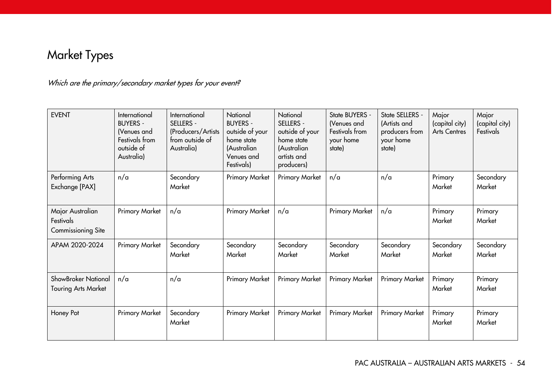# Market Types

## Which are the primary/secondary market types for your event?

| <b>EVENT</b>                                        | International<br><b>BUYERS -</b><br>(Venues and<br>Festivals from<br>outside of<br>Australia) | International<br><b>SELLERS -</b><br>(Producers/Artists<br>from outside of<br>Australia) | National<br><b>BUYERS -</b><br>outside of your<br>home state<br>(Australian<br>Venues and<br>Festivals) | National<br>SELLERS -<br>outside of your<br>home state<br>(Australian<br>artists and<br>producers) | State BUYERS -<br>(Venues and<br>Festivals from<br>your home<br>state) | State SELLERS -<br>(Artists and<br>producers from<br>your home<br>state) | Major<br>(capital city)<br><b>Arts Centres</b> | Major<br>(capital city)<br>Festivals |
|-----------------------------------------------------|-----------------------------------------------------------------------------------------------|------------------------------------------------------------------------------------------|---------------------------------------------------------------------------------------------------------|----------------------------------------------------------------------------------------------------|------------------------------------------------------------------------|--------------------------------------------------------------------------|------------------------------------------------|--------------------------------------|
| Performing Arts<br>Exchange [PAX]                   | n/a                                                                                           | Secondary<br>Market                                                                      | Primary Market                                                                                          | Primary Market                                                                                     | n/a                                                                    | n/a                                                                      | Primary<br>Market                              | Secondary<br>Market                  |
| Major Australian<br>Festivals<br>Commissioning Site | Primary Market                                                                                | n/a                                                                                      | Primary Market                                                                                          | n/a                                                                                                | Primary Market                                                         | n/a                                                                      | Primary<br>Market                              | Primary<br>Market                    |
| APAM 2020-2024                                      | Primary Market                                                                                | Secondary<br>Market                                                                      | Secondary<br>Market                                                                                     | Secondary<br>Market                                                                                | Secondary<br>Market                                                    | Secondary<br>Market                                                      | Secondary<br>Market                            | Secondary<br>Market                  |
| ShowBroker National<br><b>Touring Arts Market</b>   | n/a                                                                                           | n/a                                                                                      | Primary Market                                                                                          | <b>Primary Market</b>                                                                              | Primary Market                                                         | <b>Primary Market</b>                                                    | Primary<br>Market                              | Primary<br>Market                    |
| Honey Pot                                           | Primary Market                                                                                | Secondary<br>Market                                                                      | Primary Market                                                                                          | Primary Market                                                                                     | Primary Market                                                         | Primary Market                                                           | Primary<br>Market                              | Primary<br>Market                    |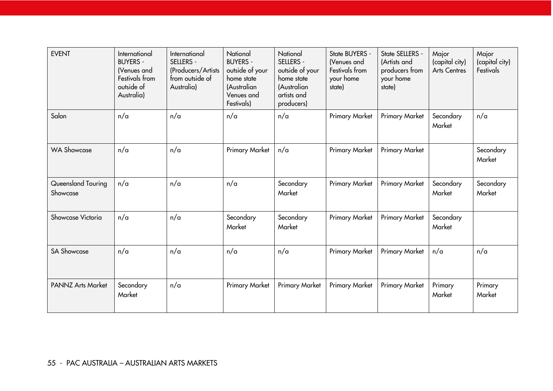| <b>EVENT</b>                   | International<br><b>BUYERS -</b><br>(Venues and<br>Festivals from<br>outside of<br>Australia) | International<br><b>SELLERS -</b><br>(Producers/Artists<br>from outside of<br>Australia) | National<br><b>BUYERS -</b><br>outside of your<br>home state<br>(Australian<br>Venues and<br>Festivals) | National<br>SELLERS -<br>outside of your<br>home state<br>(Australian<br>artists and<br>producers) | State BUYERS -<br>(Venues and<br>Festivals from<br>your home<br>state) | State SELLERS -<br>(Artists and<br>producers from<br>your home<br>state) | Major<br>(capital city)<br><b>Arts Centres</b> | Major<br>(capital city)<br>Festivals |
|--------------------------------|-----------------------------------------------------------------------------------------------|------------------------------------------------------------------------------------------|---------------------------------------------------------------------------------------------------------|----------------------------------------------------------------------------------------------------|------------------------------------------------------------------------|--------------------------------------------------------------------------|------------------------------------------------|--------------------------------------|
| Salon                          | n/a                                                                                           | n/a                                                                                      | n/a                                                                                                     | n/a                                                                                                | Primary Market                                                         | Primary Market                                                           | Secondary<br>Market                            | n/a                                  |
| <b>WA Showcase</b>             | n/a                                                                                           | n/a                                                                                      | Primary Market                                                                                          | n/a                                                                                                | Primary Market                                                         | Primary Market                                                           |                                                | Secondary<br>Market                  |
| Queensland Touring<br>Showcase | n/a                                                                                           | n/a                                                                                      | n/a                                                                                                     | Secondary<br>Market                                                                                | <b>Primary Market</b>                                                  | <b>Primary Market</b>                                                    | Secondary<br>Market                            | Secondary<br>Market                  |
| Showcase Victoria              | n/a                                                                                           | n/a                                                                                      | Secondary<br>Market                                                                                     | Secondary<br>Market                                                                                | Primary Market                                                         | <b>Primary Market</b>                                                    | Secondary<br>Market                            |                                      |
| <b>SA Showcase</b>             | n/a                                                                                           | n/a                                                                                      | n/a                                                                                                     | n/a                                                                                                | Primary Market                                                         | Primary Market                                                           | n/a                                            | n/a                                  |
| PANNZ Arts Market              | Secondary<br>Market                                                                           | n/a                                                                                      | Primary Market                                                                                          | <b>Primary Market</b>                                                                              | <b>Primary Market</b>                                                  | <b>Primary Market</b>                                                    | Primary<br>Market                              | Primary<br>Market                    |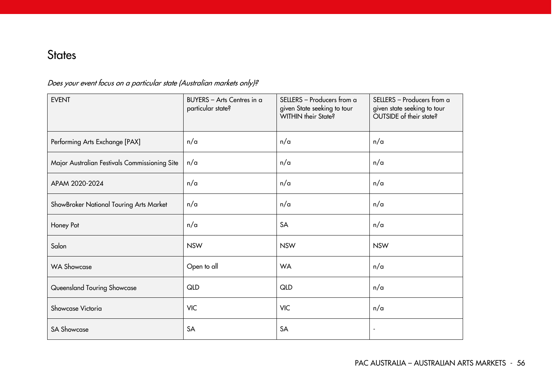# **States**

## Does your event focus on a particular state (Australian markets only)?

| <b>EVENT</b>                                  | BUYERS - Arts Centres in a<br>particular state? | SELLERS - Producers from a<br>given State seeking to tour<br>WITHIN their State? | SELLERS - Producers from a<br>given state seeking to tour<br>OUTSIDE of their state? |  |
|-----------------------------------------------|-------------------------------------------------|----------------------------------------------------------------------------------|--------------------------------------------------------------------------------------|--|
| Performing Arts Exchange [PAX]                | n/a                                             | n/a                                                                              | n/a                                                                                  |  |
| Major Australian Festivals Commissioning Site | n/a                                             | n/a                                                                              | n/a                                                                                  |  |
| APAM 2020-2024                                | n/a                                             | n/a                                                                              | n/a                                                                                  |  |
| ShowBroker National Touring Arts Market       | n/a                                             | n/a                                                                              | n/a                                                                                  |  |
| Honey Pot                                     | n/a                                             | SA                                                                               | n/a                                                                                  |  |
| Salon                                         | <b>NSW</b>                                      | <b>NSW</b>                                                                       | <b>NSW</b>                                                                           |  |
| <b>WA Showcase</b>                            | Open to all                                     | <b>WA</b>                                                                        | n/a                                                                                  |  |
| Queensland Touring Showcase                   | <b>QLD</b>                                      | <b>QLD</b>                                                                       | n/a                                                                                  |  |
| Showcase Victoria                             | <b>VIC</b>                                      | <b>VIC</b>                                                                       | n/a                                                                                  |  |
| <b>SA Showcase</b>                            | SA                                              | SA                                                                               | $\overline{\phantom{a}}$                                                             |  |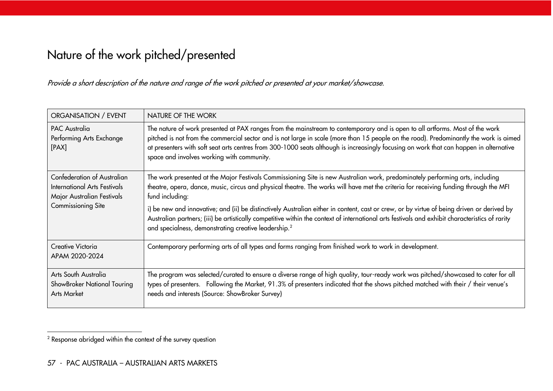# Nature of the work pitched/presented

Provide a short description of the nature and range of the work pitched or presented at your market/showcase.

| ORGANISATION / EVENT                                                                                            | NATURE OF THE WORK                                                                                                                                                                                                                                                                                                                                                                                                                                                                                                                                                                                                                                             |
|-----------------------------------------------------------------------------------------------------------------|----------------------------------------------------------------------------------------------------------------------------------------------------------------------------------------------------------------------------------------------------------------------------------------------------------------------------------------------------------------------------------------------------------------------------------------------------------------------------------------------------------------------------------------------------------------------------------------------------------------------------------------------------------------|
| <b>PAC Australia</b><br>Performing Arts Exchange<br>[PAX]                                                       | The nature of work presented at PAX ranges from the mainstream to contemporary and is open to all artforms. Most of the work<br>pitched is not from the commercial sector and is not large in scale (more than 15 people on the road). Predominantly the work is aimed<br>at presenters with soft seat arts centres from 300-1000 seats although is increasingly focusing on work that can happen in alternative<br>space and involves working with community.                                                                                                                                                                                                 |
| Confederation of Australian<br>International Arts Festivals<br>Major Australian Festivals<br>Commissioning Site | The work presented at the Major Festivals Commissioning Site is new Australian work, predominately performing arts, including<br>theatre, opera, dance, music, circus and physical theatre. The works will have met the criteria for receiving funding through the MFI<br>fund including:<br>i) be new and innovative; and (ii) be distinctively Australian either in content, cast or crew, or by virtue of being driven or derived by<br>Australian partners; (iii) be artistically competitive within the context of international arts festivals and exhibit characteristics of rarity<br>and specialness, demonstrating creative leadership. <sup>2</sup> |
| Creative Victoria<br>APAM 2020-2024                                                                             | Contemporary performing arts of all types and forms ranging from finished work to work in development.                                                                                                                                                                                                                                                                                                                                                                                                                                                                                                                                                         |
| Arts South Australia<br>ShowBroker National Touring<br>Arts Market                                              | The program was selected/curated to ensure a diverse range of high quality, tour-ready work was pitched/showcased to cater for all<br>types of presenters. Following the Market, 91.3% of presenters indicated that the shows pitched matched with their / their venue's<br>needs and interests (Source: ShowBroker Survey)                                                                                                                                                                                                                                                                                                                                    |

 $\overline{a}$ 

 $^{\rm 2}$  Response abridged within the context of the survey question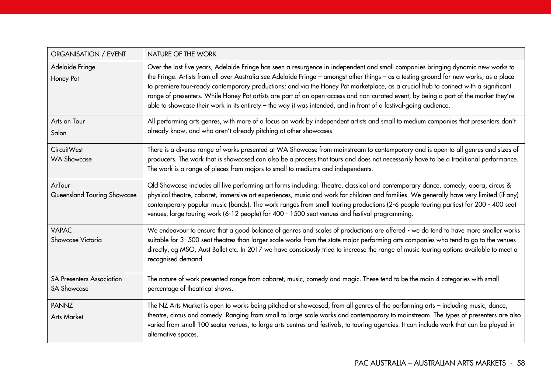| ORGANISATION / EVENT                                   | NATURE OF THE WORK                                                                                                                                                                                                                                                                                                                                                                                                                                                                                                                                                                                                                                                            |
|--------------------------------------------------------|-------------------------------------------------------------------------------------------------------------------------------------------------------------------------------------------------------------------------------------------------------------------------------------------------------------------------------------------------------------------------------------------------------------------------------------------------------------------------------------------------------------------------------------------------------------------------------------------------------------------------------------------------------------------------------|
| Adelaide Fringe<br>Honey Pot                           | Over the last five years, Adelaide Fringe has seen a resurgence in independent and small companies bringing dynamic new works to<br>the Fringe. Artists from all over Australia see Adelaide Fringe - amongst other things - as a testing ground for new works; as a place<br>to premiere tour-ready contemporary productions; and via the Honey Pot marketplace, as a crucial hub to connect with a significant<br>range of presenters. While Honey Pot artists are part of an open-access and non-curated event, by being a part of the market they're<br>able to showcase their work in its entirety - the way it was intended, and in front of a festival-going audience. |
| Arts on Tour<br>Salon                                  | All performing arts genres, with more of a focus on work by independent artists and small to medium companies that presenters don't<br>already know, and who aren't already pitching at other showcases.                                                                                                                                                                                                                                                                                                                                                                                                                                                                      |
| CircuitWest<br><b>WA Showcase</b>                      | There is a diverse range of works presented at WA Showcase from mainstream to contemporary and is open to all genres and sizes of<br>producers. The work that is showcased can also be a process that tours and does not necessarily have to be a traditional performance.<br>The work is a range of pieces from majors to small to mediums and independents.                                                                                                                                                                                                                                                                                                                 |
| ArTour<br>Queensland Touring Showcase                  | Qld Showcase includes all live performing art forms including: Theatre, classical and contemporary dance, comedy, opera, circus &<br>physical theatre, cabaret, immersive art experiences, music and work for children and families. We generally have very limited (if any)<br>contemporary popular music (bands). The work ranges from small touring productions (2-6 people touring parties) for 200 - 400 seat<br>venues, large touring work (6-12 people) for 400 - 1500 seat venues and festival programming.                                                                                                                                                           |
| <b>VAPAC</b><br>Showcase Victoria                      | We endeavour to ensure that a good balance of genres and scales of productions are offered - we do tend to have more smaller works<br>suitable for 3-500 seat theatres than larger scale works from the state major performing arts companies who tend to go to the venues<br>directly, eg MSO, Aust Ballet etc. In 2017 we have consciously tried to increase the range of music touring options available to meet a<br>recognised demand.                                                                                                                                                                                                                                   |
| <b>SA Presenters Association</b><br><b>SA Showcase</b> | The nature of work presented range from cabaret, music, comedy and magic. These tend to be the main 4 categories with small<br>percentage of theatrical shows.                                                                                                                                                                                                                                                                                                                                                                                                                                                                                                                |
| <b>PANNZ</b><br><b>Arts Market</b>                     | The NZ Arts Market is open to works being pitched or showcased, from all genres of the performing arts - including music, dance,<br>theatre, circus and comedy. Ranging from small to large scale works and contemporary to mainstream. The types of presenters are also<br>varied from small 100 seater venues, to large arts centres and festivals, to touring agencies. It can include work that can be played in<br>alternative spaces.                                                                                                                                                                                                                                   |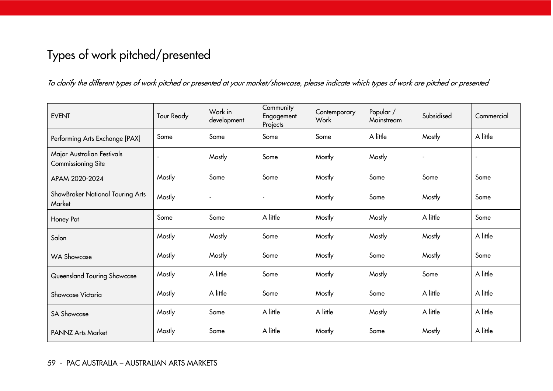# Types of work pitched/presented

To clarify the different types of work pitched or presented at your market/showcase, please indicate which types of work are pitched or presented

| <b>EVENT</b>                                            | Tour Ready | Work in<br>development | Community<br>Engagement<br>Projects | Contemporary<br>Work | Popular /<br>Mainstream | Subsidised | Commercial |
|---------------------------------------------------------|------------|------------------------|-------------------------------------|----------------------|-------------------------|------------|------------|
| Performing Arts Exchange [PAX]                          | Some       | Some                   | Some                                | Some                 | A little                | Mostly     | A little   |
| Major Australian Festivals<br><b>Commissioning Site</b> |            | Mostly                 | Some                                | Mostly               | Mostly                  |            |            |
| APAM 2020-2024                                          | Mostly     | Some                   | Some                                | Mostly               | Some                    | Some       | Some       |
| ShowBroker National Touring Arts<br>Market              | Mostly     |                        | $\overline{\phantom{a}}$            | Mostly               | Some                    | Mostly     | Some       |
| Honey Pot                                               | Some       | Some                   | A little                            | Mostly               | Mostly                  | A little   | Some       |
| Salon                                                   | Mostly     | Mostly                 | Some                                | Mostly               | Mostly                  | Mostly     | A little   |
| <b>WA Showcase</b>                                      | Mostly     | Mostly                 | Some                                | Mostly               | Some                    | Mostly     | Some       |
| Queensland Touring Showcase                             | Mostly     | A little               | Some                                | Mostly               | Mostly                  | Some       | A little   |
| Showcase Victoria                                       | Mostly     | A little               | Some                                | Mostly               | Some                    | A little   | A little   |
| <b>SA Showcase</b>                                      | Mostly     | Some                   | A little                            | A little             | Mostly                  | A little   | A little   |
| <b>PANNZ Arts Market</b>                                | Mostly     | Some                   | A little                            | Mostly               | Some                    | Mostly     | A little   |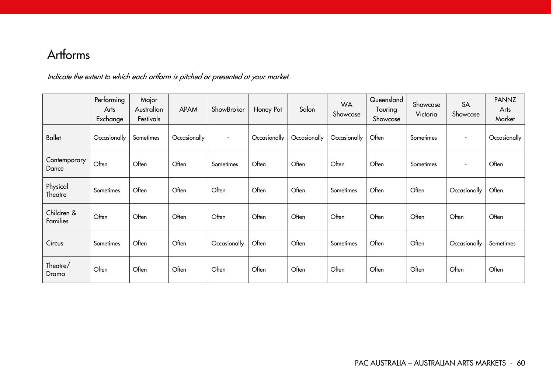# Artforms

Indicate the extent to which each artform is pitched or presented at your market.

|                        | Performing<br>Arts<br>Exchange | Major<br>Australian<br>Festivals | <b>APAM</b>  | ShowBroker               | Honey Pot    | Salon        | <b>WA</b><br>Showcase | Queensland<br>Touring<br>Showcase | Showcase<br>Victoria | SA<br>Showcase           | <b>PANNZ</b><br>Arts<br>Market |
|------------------------|--------------------------------|----------------------------------|--------------|--------------------------|--------------|--------------|-----------------------|-----------------------------------|----------------------|--------------------------|--------------------------------|
| <b>Ballet</b>          | Occasionally                   | Sometimes                        | Occasionally | $\overline{\phantom{a}}$ | Occasionally | Occasionally | Occasionally          | Often                             | Sometimes            | $\overline{\phantom{a}}$ | Occasionally                   |
| Contemporary<br>Dance  | Often                          | Often                            | Often        | Sometimes                | Often        | Often        | Often                 | Often                             | Sometimes            | $\overline{\phantom{a}}$ | Often                          |
| Physical<br>Theatre    | Sometimes                      | Often                            | Often        | Often                    | Often        | Often        | Sometimes             | Often                             | Often                | Occasionally             | Often                          |
| Children &<br>Families | Often                          | Often                            | Often        | Often                    | Often        | Often        | Often                 | Often                             | Often                | Often                    | Often                          |
| Circus                 | Sometimes                      | Often                            | Often        | Occasionally             | Often        | Often        | Sometimes             | Often                             | Often                | Occasionally             | Sometimes                      |
| Theatre/<br>Drama      | Often                          | Often                            | Often        | Often                    | Often        | Often        | Often                 | Often                             | Often                | Often                    | Often                          |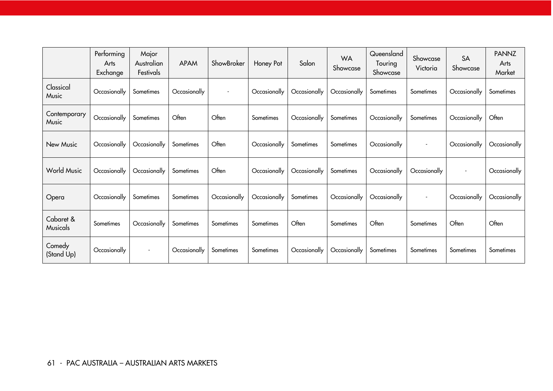|                       | Performing<br>Arts<br>Exchange | Major<br>Australian<br>Festivals | <b>APAM</b>  | ShowBroker               | Honey Pot    | Salon        | <b>WA</b><br>Showcase | Queensland<br>Touring<br>Showcase | Showcase<br>Victoria     | SA<br>Showcase           | <b>PANNZ</b><br>Arts<br>Market |
|-----------------------|--------------------------------|----------------------------------|--------------|--------------------------|--------------|--------------|-----------------------|-----------------------------------|--------------------------|--------------------------|--------------------------------|
| Classical<br>Music    | Occasionally                   | Sometimes                        | Occasionally | $\overline{\phantom{a}}$ | Occasionally | Occasionally | Occasionally          | Sometimes                         | Sometimes                | Occasionally             | Sometimes                      |
| Contemporary<br>Music | Occasionally                   | Sometimes                        | Often        | Often                    | Sometimes    | Occasionally | Sometimes             | Occasionally                      | Sometimes                | Occasionally             | Often                          |
| New Music             | Occasionally                   | Occasionally                     | Sometimes    | Often                    | Occasionally | Sometimes    | Sometimes             | Occasionally                      | $\overline{\phantom{a}}$ | Occasionally             | Occasionally                   |
| <b>World Music</b>    | Occasionally                   | Occasionally                     | Sometimes    | Often                    | Occasionally | Occasionally | Sometimes             | Occasionally                      | Occasionally             | $\overline{\phantom{a}}$ | Occasionally                   |
| Opera                 | Occasionally                   | Sometimes                        | Sometimes    | Occasionally             | Occasionally | Sometimes    | Occasionally          | Occasionally                      | $\overline{\phantom{a}}$ | Occasionally             | Occasionally                   |
| Cabaret &<br>Musicals | Sometimes                      | Occasionally                     | Sometimes    | Sometimes                | Sometimes    | Often        | Sometimes             | Often                             | Sometimes                | Often                    | Often                          |
| Comedy<br>(Stand Up)  | Occasionally                   | $\overline{\phantom{a}}$         | Occasionally | Sometimes                | Sometimes    | Occasionally | Occasionally          | Sometimes                         | Sometimes                | Sometimes                | Sometimes                      |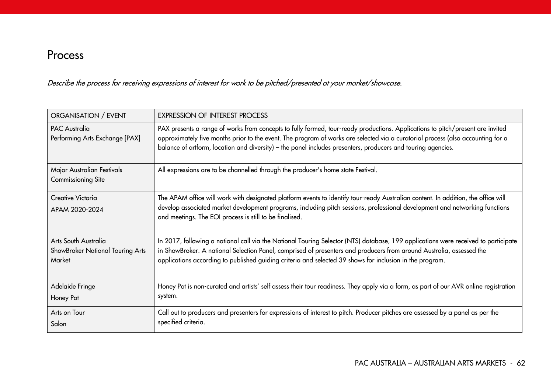# Process

Describe the process for receiving expressions of interest for work to be pitched/presented at your market/showcase.

| ORGANISATION / EVENT                                               | <b>EXPRESSION OF INTEREST PROCESS</b>                                                                                                                                                                                                                                                                                                                                             |
|--------------------------------------------------------------------|-----------------------------------------------------------------------------------------------------------------------------------------------------------------------------------------------------------------------------------------------------------------------------------------------------------------------------------------------------------------------------------|
| <b>PAC Australia</b><br>Performing Arts Exchange [PAX]             | PAX presents a range of works from concepts to fully formed, tour-ready productions. Applications to pitch/present are invited<br>approximately five months prior to the event. The program of works are selected via a curatorial process (also accounting for a<br>balance of artform, location and diversity) - the panel includes presenters, producers and touring agencies. |
| Major Australian Festivals<br><b>Commissioning Site</b>            | All expressions are to be channelled through the producer's home state Festival.                                                                                                                                                                                                                                                                                                  |
| Creative Victoria<br>APAM 2020-2024                                | The APAM office will work with designated platform events to identify tour-ready Australian content. In addition, the office will<br>develop associated market development programs, including pitch sessions, professional development and networking functions<br>and meetings. The EOI process is still to be finalised.                                                       |
| Arts South Australia<br>ShowBroker National Touring Arts<br>Market | In 2017, following a national call via the National Touring Selector (NTS) database, 199 applications were received to participate<br>in ShowBroker. A national Selection Panel, comprised of presenters and producers from around Australia, assessed the<br>applications according to published guiding criteria and selected 39 shows for inclusion in the program.            |
| Adelaide Fringe<br>Honey Pot                                       | Honey Pot is non-curated and artists' self assess their tour readiness. They apply via a form, as part of our AVR online registration<br>system.                                                                                                                                                                                                                                  |
| Arts on Tour<br>Salon                                              | Call out to producers and presenters for expressions of interest to pitch. Producer pitches are assessed by a panel as per the<br>specified criteria.                                                                                                                                                                                                                             |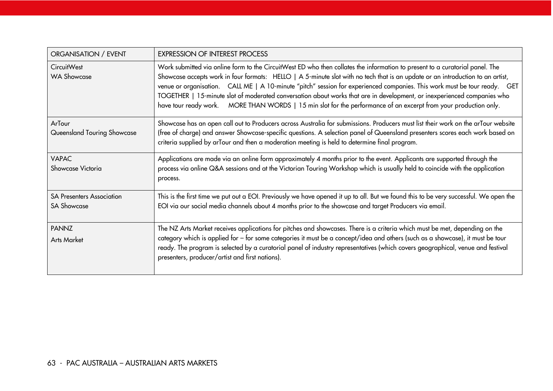| ORGANISATION / EVENT                                   | <b>EXPRESSION OF INTEREST PROCESS</b>                                                                                                                                                                                                                                                                                                                                                                                                                                                                                                                                                                                                      |
|--------------------------------------------------------|--------------------------------------------------------------------------------------------------------------------------------------------------------------------------------------------------------------------------------------------------------------------------------------------------------------------------------------------------------------------------------------------------------------------------------------------------------------------------------------------------------------------------------------------------------------------------------------------------------------------------------------------|
| <b>CircuitWest</b><br><b>WA Showcase</b>               | Work submitted via online form to the CircuitWest ED who then collates the information to present to a curatorial panel. The<br>Showcase accepts work in four formats: HELLO   A 5-minute slot with no tech that is an update or an introduction to an artist,<br>venue or organisation. CALL ME   A 10-minute "pitch" session for experienced companies. This work must be tour ready. GET<br>TOGETHER   15-minute slot of moderated conversation about works that are in development, or inexperienced companies who<br>have tour ready work. MORE THAN WORDS   15 min slot for the performance of an excerpt from your production only. |
| ArTour<br>Queensland Touring Showcase                  | Showcase has an open call out to Producers across Australia for submissions. Producers must list their work on the arTour website<br>(free of charge) and answer Showcase-specific questions. A selection panel of Queensland presenters scores each work based on<br>criteria supplied by arTour and then a moderation meeting is held to determine final program.                                                                                                                                                                                                                                                                        |
| <b>VAPAC</b><br>Showcase Victoria                      | Applications are made via an online form approximately 4 months prior to the event. Applicants are supported through the<br>process via online Q&A sessions and at the Victorian Touring Workshop which is usually held to coincide with the application<br>process.                                                                                                                                                                                                                                                                                                                                                                       |
| <b>SA Presenters Association</b><br><b>SA Showcase</b> | This is the first time we put out a EOI. Previously we have opened it up to all. But we found this to be very successful. We open the<br>EOI via our social media channels about 4 months prior to the showcase and target Producers via email.                                                                                                                                                                                                                                                                                                                                                                                            |
| <b>PANNZ</b><br><b>Arts Market</b>                     | The NZ Arts Market receives applications for pitches and showcases. There is a criteria which must be met, depending on the<br>category which is applied for - for some categories it must be a concept/idea and others (such as a showcase), it must be tour<br>ready. The program is selected by a curatorial panel of industry representatives (which covers geographical, venue and festival<br>presenters, producer/artist and first nations).                                                                                                                                                                                        |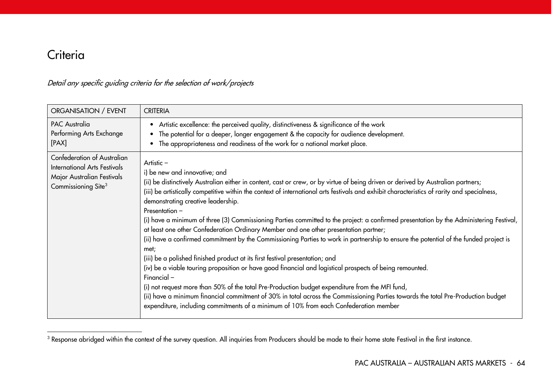# **Criteria**

 $\overline{a}$ 

#### Detail any specific guiding criteria for the selection of work/projects

| ORGANISATION / EVENT                                                                                                                | <b>CRITERIA</b>                                                                                                                                                                                                                                                                                                                                                                                                                                                                                                                                                                                                                                                                                                                                                                                                                                                                                                                                                                                                                                                                                                                                                                                                                                                                                                          |
|-------------------------------------------------------------------------------------------------------------------------------------|--------------------------------------------------------------------------------------------------------------------------------------------------------------------------------------------------------------------------------------------------------------------------------------------------------------------------------------------------------------------------------------------------------------------------------------------------------------------------------------------------------------------------------------------------------------------------------------------------------------------------------------------------------------------------------------------------------------------------------------------------------------------------------------------------------------------------------------------------------------------------------------------------------------------------------------------------------------------------------------------------------------------------------------------------------------------------------------------------------------------------------------------------------------------------------------------------------------------------------------------------------------------------------------------------------------------------|
| <b>PAC Australia</b><br>Performing Arts Exchange<br>[PAX]                                                                           | Artistic excellence: the perceived quality, distinctiveness & significance of the work<br>$\bullet$<br>The potential for a deeper, longer engagement & the capacity for audience development.<br>$\bullet$<br>The appropriateness and readiness of the work for a national market place.                                                                                                                                                                                                                                                                                                                                                                                                                                                                                                                                                                                                                                                                                                                                                                                                                                                                                                                                                                                                                                 |
| Confederation of Australian<br><b>International Arts Festivals</b><br>Major Australian Festivals<br>Commissioning Site <sup>3</sup> | Artistic $-$<br>i) be new and innovative; and<br>(ii) be distinctively Australian either in content, cast or crew, or by virtue of being driven or derived by Australian partners;<br>(iii) be artistically competitive within the context of international arts festivals and exhibit characteristics of rarity and specialness,<br>demonstrating creative leadership.<br>Presentation -<br>(i) have a minimum of three (3) Commissioning Parties committed to the project: a confirmed presentation by the Administering Festival,<br>at least one other Confederation Ordinary Member and one other presentation partner;<br>(ii) have a confirmed commitment by the Commissioning Parties to work in partnership to ensure the potential of the funded project is<br>met;<br>(iii) be a polished finished product at its first festival presentation; and<br>(iv) be a viable touring proposition or have good financial and logistical prospects of being remounted.<br>Financial-<br>(i) not request more than 50% of the total Pre-Production budget expenditure from the MFI fund,<br>(ii) have a minimum financial commitment of 30% in total across the Commissioning Parties towards the total Pre-Production budget<br>expenditure, including commitments of a minimum of 10% from each Confederation member |

 $^{\rm 3}$  Response abridged within the context of the survey question. All inquiries from Producers should be made to their home state Festival in the first instance.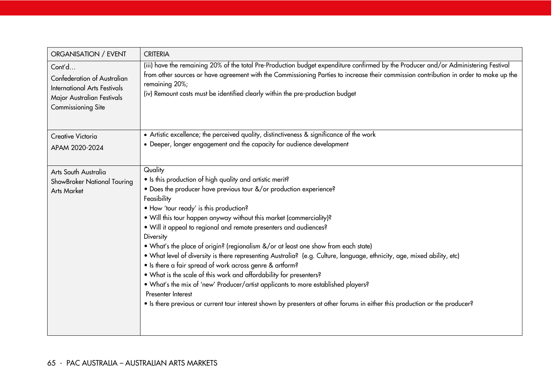| ORGANISATION / EVENT                                                                                                                           | <b>CRITERIA</b>                                                                                                                                                                                                                                                                                                                                                                  |
|------------------------------------------------------------------------------------------------------------------------------------------------|----------------------------------------------------------------------------------------------------------------------------------------------------------------------------------------------------------------------------------------------------------------------------------------------------------------------------------------------------------------------------------|
| Cont'd<br><b>Confederation of Australian</b><br><b>International Arts Festivals</b><br>Major Australian Festivals<br><b>Commissioning Site</b> | (iii) have the remaining 20% of the total Pre-Production budget expenditure confirmed by the Producer and/or Administering Festival<br>from other sources or have agreement with the Commissioning Parties to increase their commission contribution in order to make up the<br>remaining 20%;<br>(iv) Remount costs must be identified clearly within the pre-production budget |
| Creative Victoria                                                                                                                              | • Artistic excellence; the perceived quality, distinctiveness & significance of the work                                                                                                                                                                                                                                                                                         |
| APAM 2020-2024                                                                                                                                 | • Deeper, longer engagement and the capacity for audience development                                                                                                                                                                                                                                                                                                            |
| Arts South Australia                                                                                                                           | Quality                                                                                                                                                                                                                                                                                                                                                                          |
| ShowBroker National Touring                                                                                                                    | • Is this production of high quality and artistic merit?<br>• Does the producer have previous tour &/or production experience?                                                                                                                                                                                                                                                   |
| <b>Arts Market</b>                                                                                                                             | Feasibility                                                                                                                                                                                                                                                                                                                                                                      |
|                                                                                                                                                | • How 'tour ready' is this production?                                                                                                                                                                                                                                                                                                                                           |
|                                                                                                                                                | . Will this tour happen anyway without this market (commerciality)?                                                                                                                                                                                                                                                                                                              |
|                                                                                                                                                | . Will it appeal to regional and remote presenters and audiences?                                                                                                                                                                                                                                                                                                                |
|                                                                                                                                                | Diversity                                                                                                                                                                                                                                                                                                                                                                        |
|                                                                                                                                                | • What's the place of origin? (regionalism &/or at least one show from each state)                                                                                                                                                                                                                                                                                               |
|                                                                                                                                                | . What level of diversity is there representing Australia? (e.g. Culture, language, ethnicity, age, mixed ability, etc)<br>• Is there a fair spread of work across genre & artform?                                                                                                                                                                                              |
|                                                                                                                                                | . What is the scale of this work and affordability for presenters?                                                                                                                                                                                                                                                                                                               |
|                                                                                                                                                | . What's the mix of 'new' Producer/artist applicants to more established players?                                                                                                                                                                                                                                                                                                |
|                                                                                                                                                | Presenter Interest                                                                                                                                                                                                                                                                                                                                                               |
|                                                                                                                                                | • Is there previous or current tour interest shown by presenters at other forums in either this production or the producer?                                                                                                                                                                                                                                                      |
|                                                                                                                                                |                                                                                                                                                                                                                                                                                                                                                                                  |
|                                                                                                                                                |                                                                                                                                                                                                                                                                                                                                                                                  |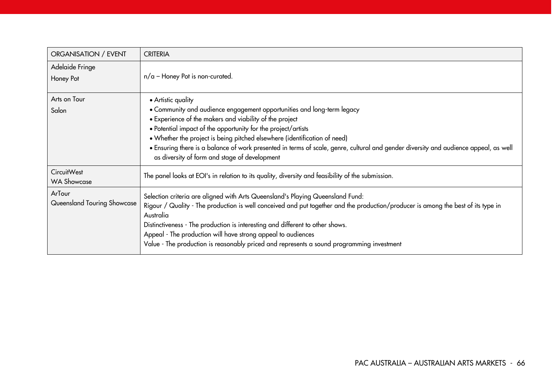| ORGANISATION / EVENT                  | <b>CRITERIA</b>                                                                                                                                                                                                                                                                                                                                                                                                                                                                                |
|---------------------------------------|------------------------------------------------------------------------------------------------------------------------------------------------------------------------------------------------------------------------------------------------------------------------------------------------------------------------------------------------------------------------------------------------------------------------------------------------------------------------------------------------|
| Adelaide Fringe<br>Honey Pot          | $n/a$ – Honey Pot is non-curated.                                                                                                                                                                                                                                                                                                                                                                                                                                                              |
| Arts on Tour<br>Salon                 | • Artistic quality<br>• Community and audience engagement opportunities and long-term legacy<br>• Experience of the makers and viability of the project<br>• Potential impact of the opportunity for the project/artists<br>• Whether the project is being pitched elsewhere (identification of need)<br>· Ensuring there is a balance of work presented in terms of scale, genre, cultural and gender diversity and audience appeal, as well<br>as diversity of form and stage of development |
| CircuitWest<br><b>WA Showcase</b>     | The panel looks at EOI's in relation to its quality, diversity and feasibility of the submission.                                                                                                                                                                                                                                                                                                                                                                                              |
| ArTour<br>Queensland Touring Showcase | Selection criteria are aligned with Arts Queensland's Playing Queensland Fund:<br>Rigour / Quality - The production is well conceived and put together and the production/producer is among the best of its type in<br>Australia<br>Distinctiveness - The production is interesting and different to other shows.<br>Appeal - The production will have strong appeal to audiences<br>Value - The production is reasonably priced and represents a sound programming investment                 |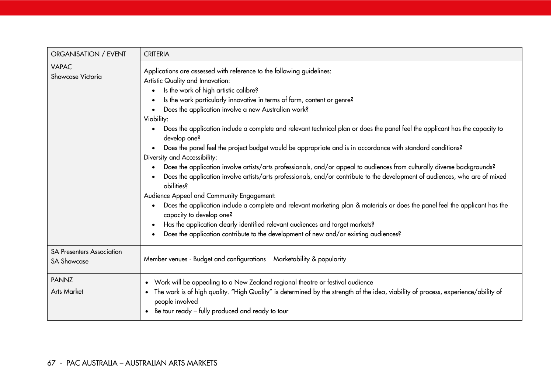| ORGANISATION / EVENT                                   | <b>CRITERIA</b>                                                                                                                                                                                                                                                                                                                                                                                                                                                                                                                                                                                                                                                                                                                                                                                                                                                                                                                                                                                                                                                                                                                                                                                                                                                                                                  |
|--------------------------------------------------------|------------------------------------------------------------------------------------------------------------------------------------------------------------------------------------------------------------------------------------------------------------------------------------------------------------------------------------------------------------------------------------------------------------------------------------------------------------------------------------------------------------------------------------------------------------------------------------------------------------------------------------------------------------------------------------------------------------------------------------------------------------------------------------------------------------------------------------------------------------------------------------------------------------------------------------------------------------------------------------------------------------------------------------------------------------------------------------------------------------------------------------------------------------------------------------------------------------------------------------------------------------------------------------------------------------------|
| <b>VAPAC</b><br>Showcase Victoria                      | Applications are assessed with reference to the following guidelines:<br>Artistic Quality and Innovation:<br>Is the work of high artistic calibre?<br>Is the work particularly innovative in terms of form, content or genre?<br>$\bullet$<br>Does the application involve a new Australian work?<br>Viability:<br>Does the application include a complete and relevant technical plan or does the panel feel the applicant has the capacity to<br>develop one?<br>Does the panel feel the project budget would be appropriate and is in accordance with standard conditions?<br>$\bullet$<br>Diversity and Accessibility:<br>Does the application involve artists/arts professionals, and/or appeal to audiences from culturally diverse backgrounds?<br>Does the application involve artists/arts professionals, and/or contribute to the development of audiences, who are of mixed<br>abilities?<br>Audience Appeal and Community Engagement:<br>Does the application include a complete and relevant marketing plan & materials or does the panel feel the applicant has the<br>$\bullet$<br>capacity to develop one?<br>Has the application clearly identified relevant audiences and target markets?<br>$\bullet$<br>Does the application contribute to the development of new and/or existing audiences? |
| <b>SA Presenters Association</b><br><b>SA Showcase</b> | Member venues - Budget and configurations  Marketability & popularity                                                                                                                                                                                                                                                                                                                                                                                                                                                                                                                                                                                                                                                                                                                                                                                                                                                                                                                                                                                                                                                                                                                                                                                                                                            |
| <b>PANNZ</b><br><b>Arts Market</b>                     | Work will be appealing to a New Zealand regional theatre or festival audience<br>$\bullet$<br>The work is of high quality. "High Quality" is determined by the strength of the idea, viability of process, experience/ability of<br>$\bullet$<br>people involved<br>Be tour ready - fully produced and ready to tour                                                                                                                                                                                                                                                                                                                                                                                                                                                                                                                                                                                                                                                                                                                                                                                                                                                                                                                                                                                             |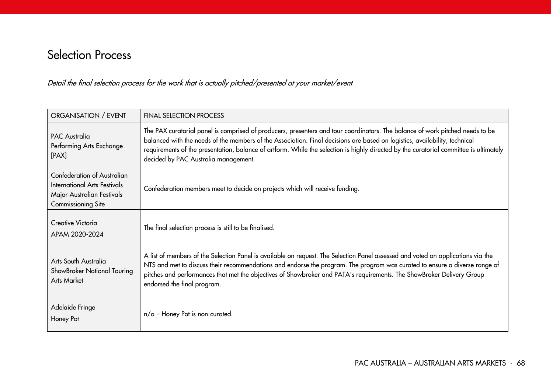# Selection Process

Detail the final selection process for the work that is actually pitched/presented at your market/event

| ORGANISATION / EVENT                                                                                                   | <b>FINAL SELECTION PROCESS</b>                                                                                                                                                                                                                                                                                                                                                                                                                |
|------------------------------------------------------------------------------------------------------------------------|-----------------------------------------------------------------------------------------------------------------------------------------------------------------------------------------------------------------------------------------------------------------------------------------------------------------------------------------------------------------------------------------------------------------------------------------------|
| <b>PAC Australia</b><br>Performing Arts Exchange<br>[PAX]                                                              | The PAX curatorial panel is comprised of producers, presenters and tour coordinators. The balance of work pitched needs to be<br>balanced with the needs of the members of the Association. Final decisions are based on logistics, availability, technical<br>requirements of the presentation, balance of artform. While the selection is highly directed by the curatorial committee is ultimately<br>decided by PAC Australia management. |
| Confederation of Australian<br>International Arts Festivals<br>Major Australian Festivals<br><b>Commissioning Site</b> | Confederation members meet to decide on projects which will receive funding.                                                                                                                                                                                                                                                                                                                                                                  |
| Creative Victoria<br>APAM 2020-2024                                                                                    | The final selection process is still to be finalised.                                                                                                                                                                                                                                                                                                                                                                                         |
| Arts South Australia<br>ShowBroker National Touring<br><b>Arts Market</b>                                              | A list of members of the Selection Panel is available on request. The Selection Panel assessed and voted on applications via the<br>NTS and met to discuss their recommendations and endorse the program. The program was curated to ensure a diverse range of<br>pitches and performances that met the objectives of Showbroker and PATA's requirements. The ShowBroker Delivery Group<br>endorsed the final program.                        |
| Adelaide Fringe<br>Honey Pot                                                                                           | $n/a$ – Honey Pot is non-curated.                                                                                                                                                                                                                                                                                                                                                                                                             |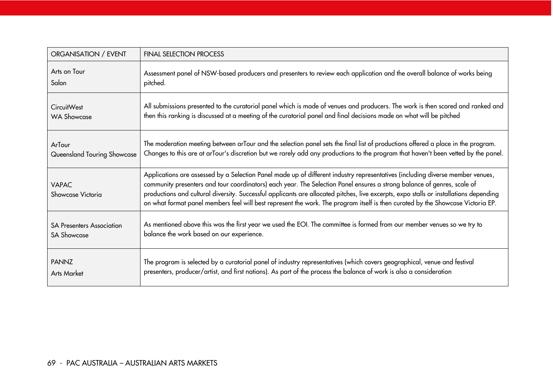| ORGANISATION / EVENT              | <b>FINAL SELECTION PROCESS</b>                                                                                                                                                                                                                                                                                                                                                                                                                                                                                                         |
|-----------------------------------|----------------------------------------------------------------------------------------------------------------------------------------------------------------------------------------------------------------------------------------------------------------------------------------------------------------------------------------------------------------------------------------------------------------------------------------------------------------------------------------------------------------------------------------|
| Arts on Tour                      | Assessment panel of NSW-based producers and presenters to review each application and the overall balance of works being                                                                                                                                                                                                                                                                                                                                                                                                               |
| Salon                             | pitched.                                                                                                                                                                                                                                                                                                                                                                                                                                                                                                                               |
| <b>CircuitWest</b>                | All submissions presented to the curatorial panel which is made of venues and producers. The work is then scored and ranked and                                                                                                                                                                                                                                                                                                                                                                                                        |
| <b>WA Showcase</b>                | then this ranking is discussed at a meeting of the curatorial panel and final decisions made on what will be pitched                                                                                                                                                                                                                                                                                                                                                                                                                   |
| ArTour                            | The moderation meeting between arTour and the selection panel sets the final list of productions offered a place in the program.                                                                                                                                                                                                                                                                                                                                                                                                       |
| Queensland Touring Showcase       | Changes to this are at arTour's discretion but we rarely add any productions to the program that haven't been vetted by the panel.                                                                                                                                                                                                                                                                                                                                                                                                     |
| <b>VAPAC</b><br>Showcase Victoria | Applications are assessed by a Selection Panel made up of different industry representatives (including diverse member venues,<br>community presenters and tour coordinators) each year. The Selection Panel ensures a strong balance of genres, scale of<br>productions and cultural diversity. Successful applicants are allocated pitches, live excerpts, expo stalls or installations depending<br>on what format panel members feel will best represent the work. The program itself is then curated by the Showcase Victoria EP. |
| <b>SA Presenters Association</b>  | As mentioned above this was the first year we used the EOI. The committee is formed from our member venues so we try to                                                                                                                                                                                                                                                                                                                                                                                                                |
| <b>SA Showcase</b>                | balance the work based on our experience.                                                                                                                                                                                                                                                                                                                                                                                                                                                                                              |
| <b>PANNZ</b>                      | The program is selected by a curatorial panel of industry representatives (which covers geographical, venue and festival                                                                                                                                                                                                                                                                                                                                                                                                               |
| <b>Arts Market</b>                | presenters, producer/artist, and first nations). As part of the process the balance of work is also a consideration                                                                                                                                                                                                                                                                                                                                                                                                                    |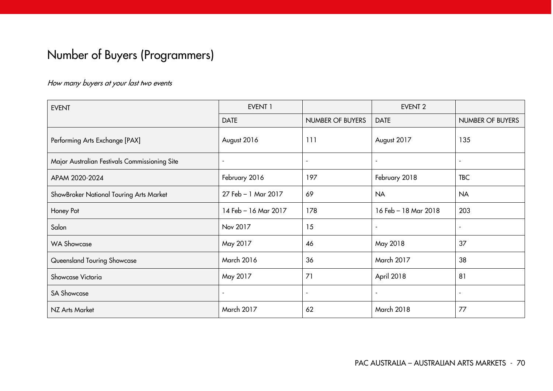# Number of Buyers (Programmers)

#### How many buyers at your last two events

| <b>EVENT</b>                                  | <b>EVENT 1</b>       |                         | <b>EVENT 2</b>       |                  |
|-----------------------------------------------|----------------------|-------------------------|----------------------|------------------|
|                                               | <b>DATE</b>          | <b>NUMBER OF BUYERS</b> | <b>DATE</b>          | NUMBER OF BUYERS |
| Performing Arts Exchange [PAX]                | August 2016          | 111                     | August 2017          | 135              |
| Major Australian Festivals Commissioning Site |                      |                         |                      | ٠                |
| APAM 2020-2024                                | February 2016        | 197                     | February 2018        | <b>TBC</b>       |
| ShowBroker National Touring Arts Market       | 27 Feb - 1 Mar 2017  | 69                      | <b>NA</b>            | <b>NA</b>        |
| Honey Pot                                     | 14 Feb - 16 Mar 2017 | 178                     | 16 Feb - 18 Mar 2018 | 203              |
| Salon                                         | Nov 2017             | 15                      |                      | ۰                |
| <b>WA Showcase</b>                            | May 2017             | 46                      | May 2018             | 37               |
| Queensland Touring Showcase                   | March 2016           | 36                      | March 2017           | 38               |
| Showcase Victoria                             | May 2017             | 71                      | April 2018           | 81               |
| <b>SA Showcase</b>                            |                      | $\blacksquare$          |                      | $\blacksquare$   |
| NZ Arts Market                                | March 2017           | 62                      | <b>March 2018</b>    | 77               |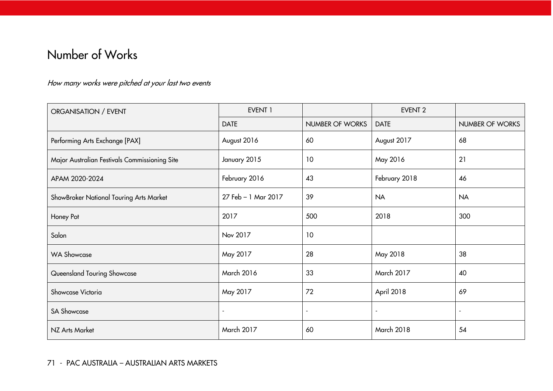# Number of Works

## How many works were pitched at your last two events

| ORGANISATION / EVENT                          | EVENT 1                  |                          | <b>EVENT 2</b>    |                          |
|-----------------------------------------------|--------------------------|--------------------------|-------------------|--------------------------|
|                                               | <b>DATE</b>              | NUMBER OF WORKS          | <b>DATE</b>       | NUMBER OF WORKS          |
| Performing Arts Exchange [PAX]                | August 2016              | 60                       | August 2017       | 68                       |
| Major Australian Festivals Commissioning Site | January 2015             | 10                       | May 2016          | 21                       |
| APAM 2020-2024                                | February 2016            | 43                       | February 2018     | 46                       |
| ShowBroker National Touring Arts Market       | 27 Feb - 1 Mar 2017      | 39                       | <b>NA</b>         | <b>NA</b>                |
| Honey Pot                                     | 2017                     | 500                      | 2018              | 300                      |
| Salon                                         | Nov 2017                 | 10                       |                   |                          |
| <b>WA Showcase</b>                            | May 2017                 | 28                       | May 2018          | 38                       |
| Queensland Touring Showcase                   | March 2016               | 33                       | March 2017        | 40                       |
| Showcase Victoria                             | May 2017                 | 72                       | April 2018        | 69                       |
| <b>SA Showcase</b>                            | $\overline{\phantom{a}}$ | $\overline{\phantom{a}}$ | $\blacksquare$    | $\overline{\phantom{a}}$ |
| NZ Arts Market                                | March 2017               | 60                       | <b>March 2018</b> | 54                       |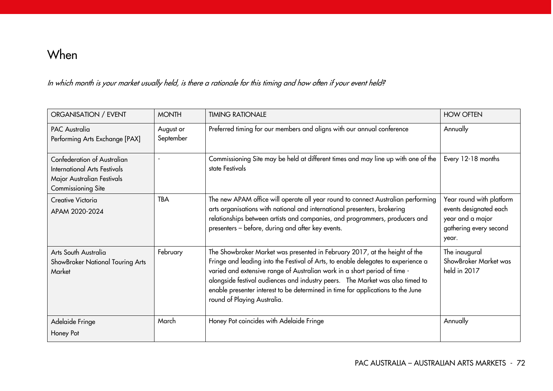## When

In which month is your market usually held, is there a rationale for this timing and how often if your event held?

| ORGANISATION / EVENT                                                                                                   | <b>MONTH</b>           | <b>TIMING RATIONALE</b>                                                                                                                                                                                                                                                                                                                                                                                                                          | <b>HOW OFTEN</b>                                                                                          |
|------------------------------------------------------------------------------------------------------------------------|------------------------|--------------------------------------------------------------------------------------------------------------------------------------------------------------------------------------------------------------------------------------------------------------------------------------------------------------------------------------------------------------------------------------------------------------------------------------------------|-----------------------------------------------------------------------------------------------------------|
| <b>PAC Australia</b><br>Performing Arts Exchange [PAX]                                                                 | August or<br>September | Preferred timing for our members and aligns with our annual conference                                                                                                                                                                                                                                                                                                                                                                           | Annually                                                                                                  |
| Confederation of Australian<br><b>International Arts Festivals</b><br>Major Australian Festivals<br>Commissioning Site |                        | Commissioning Site may be held at different times and may line up with one of the<br>state Festivals                                                                                                                                                                                                                                                                                                                                             | Every 12-18 months                                                                                        |
| Creative Victoria<br>APAM 2020-2024                                                                                    | <b>TBA</b>             | The new APAM office will operate all year round to connect Australian performing<br>arts organisations with national and international presenters, brokering<br>relationships between artists and companies, and programmers, producers and<br>presenters - before, during and after key events.                                                                                                                                                 | Year round with platform<br>events designated each<br>year and a major<br>gathering every second<br>year. |
| Arts South Australia<br>ShowBroker National Touring Arts<br>Market                                                     | February               | The Showbroker Market was presented in February 2017, at the height of the<br>Fringe and leading into the Festival of Arts, to enable delegates to experience a<br>varied and extensive range of Australian work in a short period of time -<br>alongside festival audiences and industry peers.  The Market was also timed to<br>enable presenter interest to be determined in time for applications to the June<br>round of Playing Australia. | The inaugural<br>ShowBroker Market was<br>held in 2017                                                    |
| Adelaide Fringe<br>Honey Pot                                                                                           | March                  | Honey Pot coincides with Adelaide Fringe                                                                                                                                                                                                                                                                                                                                                                                                         | Annually                                                                                                  |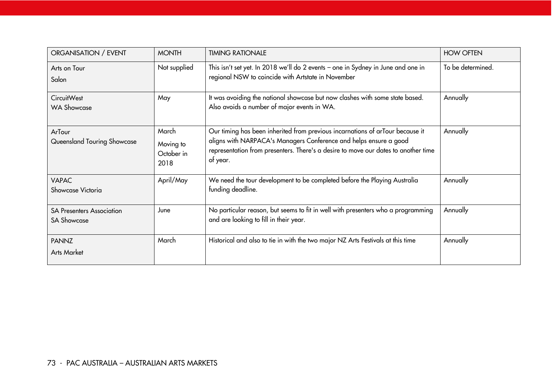| ORGANISATION / EVENT                                   | <b>MONTH</b>                             | <b>TIMING RATIONALE</b>                                                                                                                                                                                                                              | <b>HOW OFTEN</b>  |
|--------------------------------------------------------|------------------------------------------|------------------------------------------------------------------------------------------------------------------------------------------------------------------------------------------------------------------------------------------------------|-------------------|
| Arts on Tour<br>Salon                                  | Not supplied                             | This isn't set yet. In 2018 we'll do 2 events - one in Sydney in June and one in<br>regional NSW to coincide with Artstate in November                                                                                                               | To be determined. |
| <b>CircuitWest</b><br><b>WA Showcase</b>               | May                                      | It was avoiding the national showcase but now clashes with some state based.<br>Also avoids a number of major events in WA.                                                                                                                          | Annually          |
| ArTour<br>Queensland Touring Showcase                  | March<br>Moving to<br>October in<br>2018 | Our timing has been inherited from previous incarnations of arTour because it<br>aligns with NARPACA's Managers Conference and helps ensure a good<br>representation from presenters. There's a desire to move our dates to another time<br>of year. | Annually          |
| <b>VAPAC</b><br>Showcase Victoria                      | April/May                                | We need the tour development to be completed before the Playing Australia<br>funding deadline.                                                                                                                                                       | Annually          |
| <b>SA Presenters Association</b><br><b>SA Showcase</b> | June                                     | No particular reason, but seems to fit in well with presenters who a programming<br>and are looking to fill in their year.                                                                                                                           | Annually          |
| <b>PANNZ</b><br><b>Arts Market</b>                     | March                                    | Historical and also to tie in with the two major NZ Arts Festivals at this time                                                                                                                                                                      | Annually          |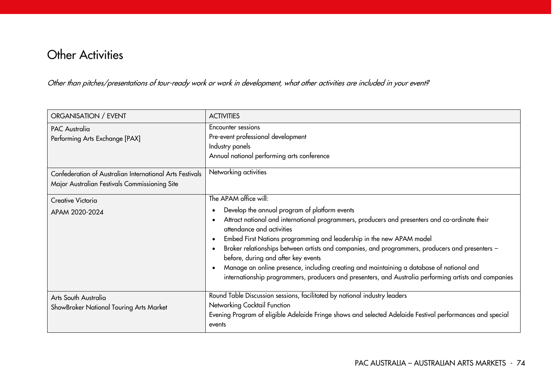## **Other Activities**

Other than pitches/presentations of tour-ready work or work in development, what other activities are included in your event?

| ORGANISATION / EVENT                                                                                               | <b>ACTIVITIES</b>                                                                                                                                                                                                                                                                                                                                                                                                                                                                                                                                                                                                                         |
|--------------------------------------------------------------------------------------------------------------------|-------------------------------------------------------------------------------------------------------------------------------------------------------------------------------------------------------------------------------------------------------------------------------------------------------------------------------------------------------------------------------------------------------------------------------------------------------------------------------------------------------------------------------------------------------------------------------------------------------------------------------------------|
| <b>PAC Australia</b><br>Performing Arts Exchange [PAX]<br>Confederation of Australian International Arts Festivals | Encounter sessions<br>Pre-event professional development<br>Industry panels<br>Annual national performing arts conference<br>Networking activities                                                                                                                                                                                                                                                                                                                                                                                                                                                                                        |
| Major Australian Festivals Commissioning Site                                                                      |                                                                                                                                                                                                                                                                                                                                                                                                                                                                                                                                                                                                                                           |
| Creative Victoria<br>APAM 2020-2024                                                                                | The APAM office will:<br>Develop the annual program of platform events<br>Attract national and international programmers, producers and presenters and co-ordinate their<br>attendance and activities<br>Embed First Nations programming and leadership in the new APAM model<br>$\bullet$<br>Broker relationships between artists and companies, and programmers, producers and presenters -<br>before, during and after key events<br>Manage an online presence, including creating and maintaining a database of national and<br>internationship programmers, producers and presenters, and Australia performing artists and companies |
| Arts South Australia<br>ShowBroker National Touring Arts Market                                                    | Round Table Discussion sessions, facilitated by national industry leaders<br>Networking Cocktail Function<br>Evening Program of eligible Adelaide Fringe shows and selected Adelaide Festival performances and special<br>events                                                                                                                                                                                                                                                                                                                                                                                                          |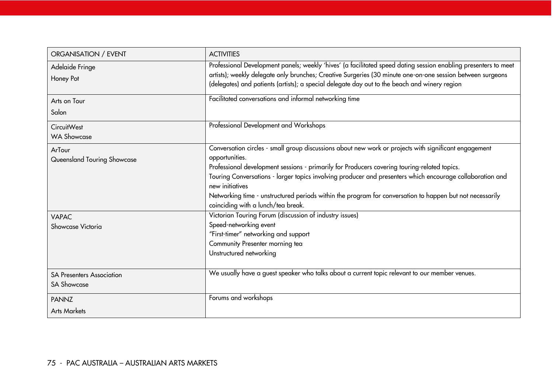| ORGANISATION / EVENT                                   | <b>ACTIVITIES</b>                                                                                                                                                                                                                                                                                                                                                                                                                                                                                         |
|--------------------------------------------------------|-----------------------------------------------------------------------------------------------------------------------------------------------------------------------------------------------------------------------------------------------------------------------------------------------------------------------------------------------------------------------------------------------------------------------------------------------------------------------------------------------------------|
| Adelaide Fringe<br>Honey Pot                           | Professional Development panels; weekly 'hives' (a facilitated speed dating session enabling presenters to meet<br>artists); weekly delegate only brunches; Creative Surgeries (30 minute one-on-one session between surgeons<br>(delegates) and patients (artists); a special delegate day out to the beach and winery region                                                                                                                                                                            |
| Arts on Tour<br>Salon                                  | Facilitated conversations and informal networking time                                                                                                                                                                                                                                                                                                                                                                                                                                                    |
| <b>CircuitWest</b><br><b>WA Showcase</b>               | Professional Development and Workshops                                                                                                                                                                                                                                                                                                                                                                                                                                                                    |
| ArTour<br>Queensland Touring Showcase                  | Conversation circles - small group discussions about new work or projects with significant engagement<br>opportunities.<br>Professional development sessions - primarily for Producers covering touring-related topics.<br>Touring Conversations - larger topics involving producer and presenters which encourage collaboration and<br>new initiatives<br>Networking time - unstructured periods within the program for conversation to happen but not necessarily<br>coinciding with a lunch/tea break. |
| <b>VAPAC</b><br>Showcase Victoria                      | Victorian Touring Forum (discussion of industry issues)<br>Speed-networking event<br>"First-timer" networking and support<br>Community Presenter morning tea<br>Unstructured networking                                                                                                                                                                                                                                                                                                                   |
| <b>SA Presenters Association</b><br><b>SA Showcase</b> | We usually have a guest speaker who talks about a current topic relevant to our member venues.                                                                                                                                                                                                                                                                                                                                                                                                            |
| <b>PANNZ</b><br><b>Arts Markets</b>                    | Forums and workshops                                                                                                                                                                                                                                                                                                                                                                                                                                                                                      |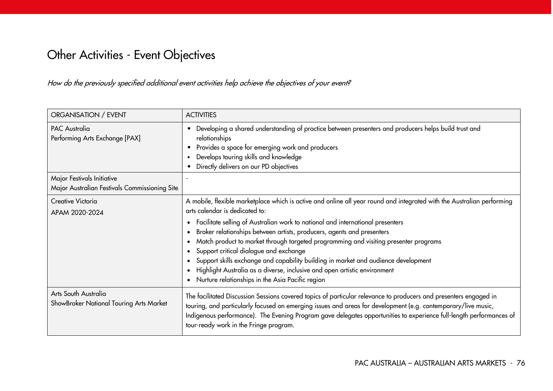# Other Activities - Event Objectives

How do the previously specified additional event activities help achieve the objectives of your event?

| ORGANISATION / EVENT                                                        | <b>ACTIVITIES</b>                                                                                                                                                                                                                                                                                                                                                                                                                                                                                                                                                                                                                                                             |
|-----------------------------------------------------------------------------|-------------------------------------------------------------------------------------------------------------------------------------------------------------------------------------------------------------------------------------------------------------------------------------------------------------------------------------------------------------------------------------------------------------------------------------------------------------------------------------------------------------------------------------------------------------------------------------------------------------------------------------------------------------------------------|
| <b>PAC Australia</b><br>Performing Arts Exchange [PAX]                      | Developing a shared understanding of practice between presenters and producers helps build trust and<br>relationships<br>Provides a space for emerging work and producers<br>Develops touring skills and knowledge<br>Directly delivers on our PD objectives                                                                                                                                                                                                                                                                                                                                                                                                                  |
| Major Festivals Initiative<br>Major Australian Festivals Commissioning Site |                                                                                                                                                                                                                                                                                                                                                                                                                                                                                                                                                                                                                                                                               |
| Creative Victoria<br>APAM 2020-2024                                         | A mobile, flexible marketplace which is active and online all year round and integrated with the Australian performing<br>arts calendar is dedicated to:<br>Facilitate selling of Australian work to national and international presenters<br>Broker relationships between artists, producers, agents and presenters<br>Match product to market through targeted programming and visiting presenter programs<br>Support critical dialogue and exchange<br>Support skills exchange and capability building in market and audience development<br>Highlight Australia as a diverse, inclusive and open artistic environment<br>Nurture relationships in the Asia Pacific region |
| Arts South Australia<br>ShowBroker National Touring Arts Market             | The facilitated Discussion Sessions covered topics of particular relevance to producers and presenters engaged in<br>touring, and particularly focused on emerging issues and areas for development (e.g. contemporary/live music,<br>Indigenous performance). The Evening Program gave delegates opportunities to experience full-length performances of<br>tour-ready work in the Fringe program.                                                                                                                                                                                                                                                                           |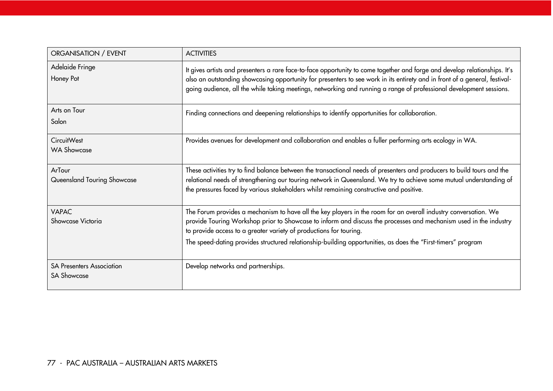| ORGANISATION / EVENT                                   | <b>ACTIVITIES</b>                                                                                                                                                                                                                                                                                                                                                                                                          |
|--------------------------------------------------------|----------------------------------------------------------------------------------------------------------------------------------------------------------------------------------------------------------------------------------------------------------------------------------------------------------------------------------------------------------------------------------------------------------------------------|
| Adelaide Fringe<br>Honey Pot                           | It gives artists and presenters a rare face-to-face opportunity to come together and forge and develop relationships. It's<br>also an outstanding showcasing opportunity for presenters to see work in its entirety and in front of a general, festival-<br>going audience, all the while taking meetings, networking and running a range of professional development sessions.                                            |
| Arts on Tour<br>Salon                                  | Finding connections and deepening relationships to identify opportunities for collaboration.                                                                                                                                                                                                                                                                                                                               |
| <b>CircuitWest</b><br><b>WA Showcase</b>               | Provides avenues for development and collaboration and enables a fuller performing arts ecology in WA.                                                                                                                                                                                                                                                                                                                     |
| ArTour<br>Queensland Touring Showcase                  | These activities try to find balance between the transactional needs of presenters and producers to build tours and the<br>relational needs of strengthening our touring network in Queensland. We try to achieve some mutual understanding of<br>the pressures faced by various stakeholders whilst remaining constructive and positive.                                                                                  |
| <b>VAPAC</b><br>Showcase Victoria                      | The Forum provides a mechanism to have all the key players in the room for an overall industry conversation. We<br>provide Touring Workshop prior to Showcase to inform and discuss the processes and mechanism used in the industry<br>to provide access to a greater variety of productions for touring.<br>The speed-dating provides structured relationship-building opportunities, as does the "First-timers" program |
| <b>SA Presenters Association</b><br><b>SA Showcase</b> | Develop networks and partnerships.                                                                                                                                                                                                                                                                                                                                                                                         |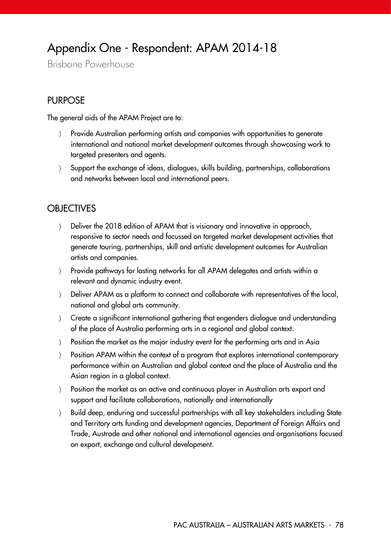## Appendix One - Respondent: APAM 2014-18

Brisbane Powerhouse

#### PURPOSE

The general aids of the APAM Project are to:

- Provide Australian performing artists and companies with opportunities to generate international and national market development outcomes through showcasing work to targeted presenters and agents.
- Support the exchange of ideas, dialogues, skills building, partnerships, collaborations and networks between local and international peers.

#### **OBJECTIVES**

- Deliver the 2018 edition of APAM that is visionary and innovative in approach, responsive to sector needs and focussed on targeted market development activities that generate touring, partnerships, skill and artistic development outcomes for Australian artists and companies.
- Provide pathways for lasting networks for all APAM delegates and artists within a relevant and dynamic industry event.
- > Deliver APAM as a platform to connect and collaborate with representatives of the local, national and global arts community.
- Create a significant international gathering that engenders dialogue and understanding of the place of Australia performing arts in a regional and global context.
- Position the market as the major industry event for the performing arts and in Asia
- Position APAM within the context of a program that explores international contemporary performance within an Australian and global context and the place of Australia and the Asian region in a global context.
- Position the market as an active and continuous player in Australian arts export and support and facilitate collaborations, nationally and internationally
- Build deep, enduring and successful partnerships with all key stakeholders including State and Territory arts funding and development agencies, Department of Foreign Affairs and Trade, Austrade and other national and international agencies and organisations focused on export, exchange and cultural development.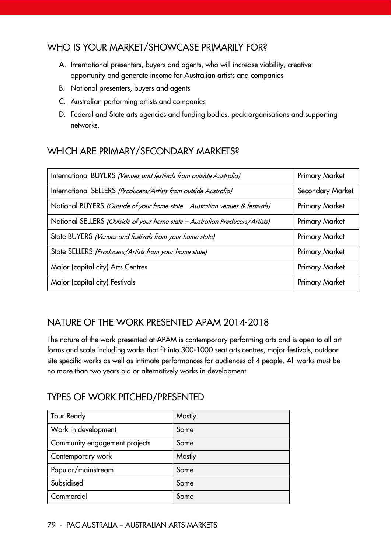#### WHO IS YOUR MARKET/SHOWCASE PRIMARILY FOR?

- A. International presenters, buyers and agents, who will increase viability, creative opportunity and generate income for Australian artists and companies
- B. National presenters, buyers and agents
- C. Australian performing artists and companies
- D. Federal and State arts agencies and funding bodies, peak organisations and supporting networks.

## WHICH ARE PRIMARY/SECONDARY MARKETS?

| International BUYERS (Venues and festivals from outside Australia)           | <b>Primary Market</b> |
|------------------------------------------------------------------------------|-----------------------|
| International SELLERS (Producers/Artists from outside Australia)             | Secondary Market      |
| National BUYERS (Outside of your home state - Australian venues & festivals) | <b>Primary Market</b> |
| National SELLERS (Outside of your home state - Australian Producers/Artists) | <b>Primary Market</b> |
| State BUYERS (Venues and festivals from your home state)                     | <b>Primary Market</b> |
| State SELLERS (Producers/Artists from your home state)                       | <b>Primary Market</b> |
| Major (capital city) Arts Centres                                            | <b>Primary Market</b> |
| Major (capital city) Festivals                                               | <b>Primary Market</b> |

### NATURE OF THE WORK PRESENTED APAM 2014-2018

The nature of the work presented at APAM is contemporary performing arts and is open to all art forms and scale including works that fit into 300-1000 seat arts centres, major festivals, outdoor site specific works as well as intimate performances for audiences of 4 people. All works must be no more than two years old or alternatively works in development.

### TYPES OF WORK PITCHED/PRESENTED

| <b>Tour Ready</b>             | Mostly |
|-------------------------------|--------|
| Work in development           | Some   |
| Community engagement projects | Some   |
| Contemporary work             | Mostly |
| Popular/mainstream            | Some   |
| Subsidised                    | Some   |
| Commercial                    | Some   |